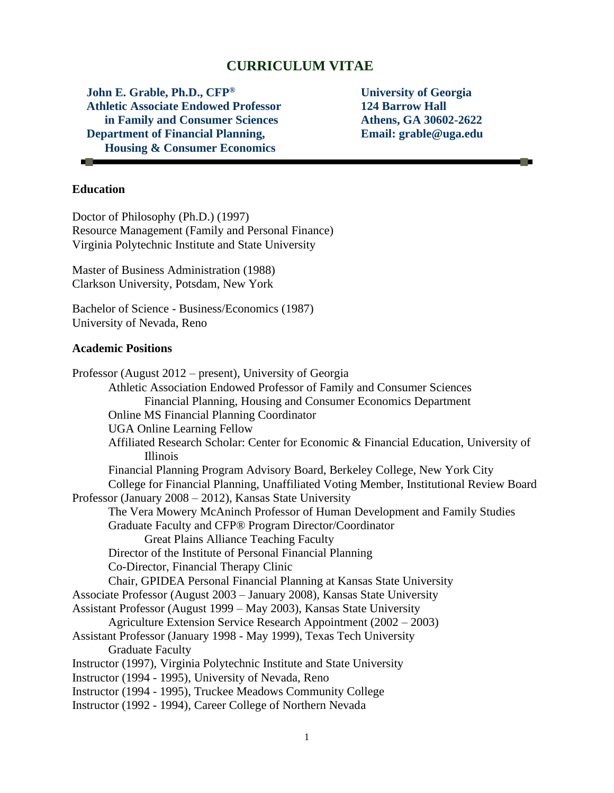# **CURRICULUM VITAE**

**John E. Grable, Ph.D., CFP® Athletic Associate Endowed Professor in Family and Consumer Sciences Department of Financial Planning, Housing & Consumer Economics**

**University of Georgia 124 Barrow Hall Athens, GA 30602-2622 Email: grable@uga.edu**

### **Education**

**College** 

Doctor of Philosophy (Ph.D.) (1997) Resource Management (Family and Personal Finance) Virginia Polytechnic Institute and State University

Master of Business Administration (1988) Clarkson University, Potsdam, New York

Bachelor of Science - Business/Economics (1987) University of Nevada, Reno

#### **Academic Positions**

Professor (August 2012 – present), University of Georgia Athletic Association Endowed Professor of Family and Consumer Sciences Financial Planning, Housing and Consumer Economics Department Online MS Financial Planning Coordinator UGA Online Learning Fellow Affiliated Research Scholar: Center for Economic & Financial Education, University of Illinois Financial Planning Program Advisory Board, Berkeley College, New York City College for Financial Planning, Unaffiliated Voting Member, Institutional Review Board Professor (January 2008 – 2012), Kansas State University The Vera Mowery McAninch Professor of Human Development and Family Studies Graduate Faculty and CFP® Program Director/Coordinator Great Plains Alliance Teaching Faculty Director of the Institute of Personal Financial Planning Co-Director, Financial Therapy Clinic Chair, GPIDEA Personal Financial Planning at Kansas State University Associate Professor (August 2003 – January 2008), Kansas State University Assistant Professor (August 1999 – May 2003), Kansas State University Agriculture Extension Service Research Appointment (2002 – 2003) Assistant Professor (January 1998 - May 1999), Texas Tech University Graduate Faculty Instructor (1997), Virginia Polytechnic Institute and State University Instructor (1994 - 1995), University of Nevada, Reno Instructor (1994 - 1995), Truckee Meadows Community College Instructor (1992 - 1994), Career College of Northern Nevada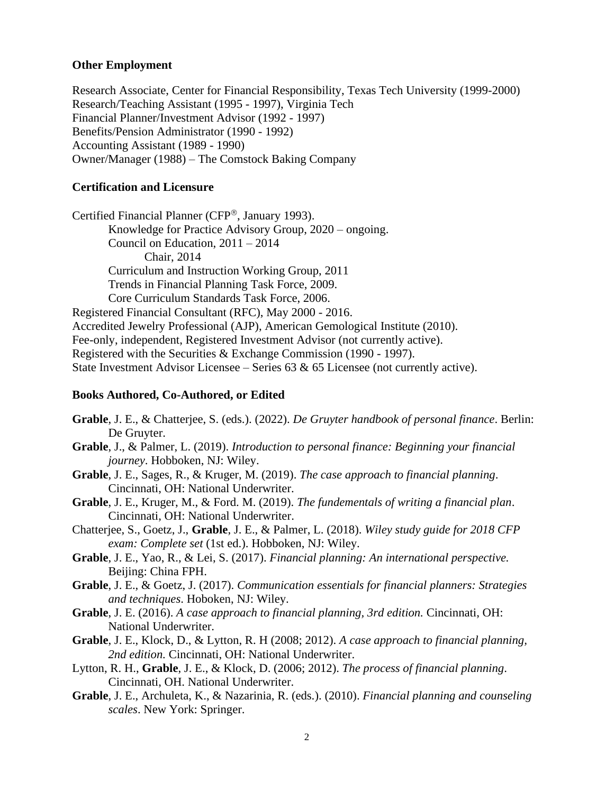#### **Other Employment**

Research Associate, Center for Financial Responsibility, Texas Tech University (1999-2000) Research/Teaching Assistant (1995 - 1997), Virginia Tech Financial Planner/Investment Advisor (1992 - 1997) Benefits/Pension Administrator (1990 - 1992) Accounting Assistant (1989 - 1990) Owner/Manager (1988) – The Comstock Baking Company

### **Certification and Licensure**

Certified Financial Planner (CFP®, January 1993). Knowledge for Practice Advisory Group, 2020 – ongoing. Council on Education, 2011 – 2014 Chair, 2014 Curriculum and Instruction Working Group, 2011 Trends in Financial Planning Task Force, 2009. Core Curriculum Standards Task Force, 2006. Registered Financial Consultant (RFC), May 2000 - 2016. Accredited Jewelry Professional (AJP), American Gemological Institute (2010). Fee-only, independent, Registered Investment Advisor (not currently active). Registered with the Securities & Exchange Commission (1990 - 1997). State Investment Advisor Licensee – Series  $63 \& 65$  Licensee (not currently active).

#### **Books Authored, Co-Authored, or Edited**

- **Grable**, J. E., & Chatterjee, S. (eds.). (2022). *De Gruyter handbook of personal finance*. Berlin: De Gruyter.
- **Grable**, J., & Palmer, L. (2019). *Introduction to personal finance: Beginning your financial journey*. Hobboken, NJ: Wiley.
- **Grable**, J. E., Sages, R., & Kruger, M. (2019). *The case approach to financial planning*. Cincinnati, OH: National Underwriter.
- **Grable**, J. E., Kruger, M., & Ford. M. (2019). *The fundementals of writing a financial plan*. Cincinnati, OH: National Underwriter.
- Chatterjee, S., Goetz, J., **Grable**, J. E., & Palmer, L. (2018). *Wiley study guide for 2018 CFP exam: Complete set* (1st ed.). Hobboken, NJ: Wiley.
- **Grable**, J. E., Yao, R., & Lei, S. (2017). *Financial planning: An international perspective.*  Beijing: China FPH.
- **Grable**, J. E., & Goetz, J. (2017). *Communication essentials for financial planners: Strategies and techniques*. Hoboken, NJ: Wiley.
- **Grable**, J. E. (2016). *A case approach to financial planning, 3rd edition.* Cincinnati, OH: National Underwriter.
- **Grable**, J. E., Klock, D., & Lytton, R. H (2008; 2012). *A case approach to financial planning, 2nd edition.* Cincinnati, OH: National Underwriter.
- Lytton, R. H., **Grable**, J. E., & Klock, D. (2006; 2012). *The process of financial planning*. Cincinnati, OH. National Underwriter.
- **Grable**, J. E., Archuleta, K., & Nazarinia, R. (eds.). (2010). *Financial planning and counseling scales*. New York: Springer.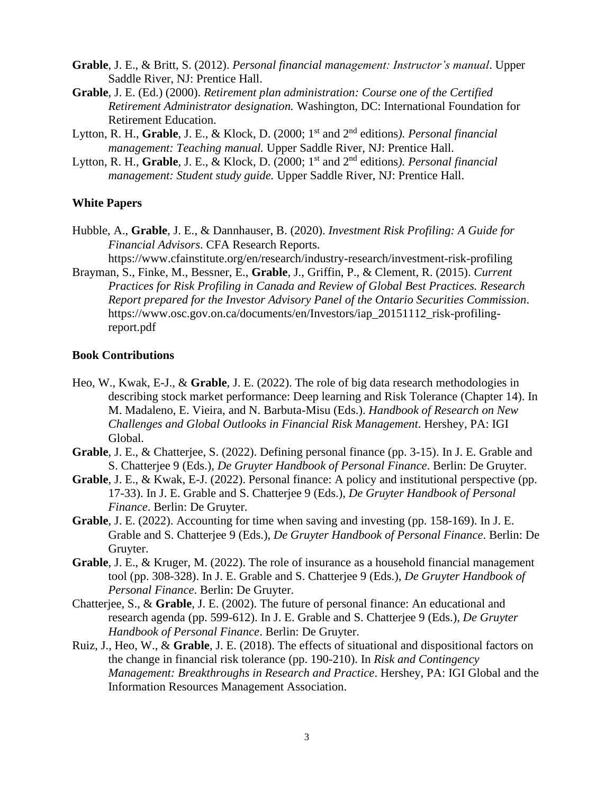- **Grable**, J. E., & Britt, S. (2012). *Personal financial management: Instructor's manual*. Upper Saddle River, NJ: Prentice Hall.
- **Grable**, J. E. (Ed.) (2000). *Retirement plan administration: Course one of the Certified Retirement Administrator designation.* Washington, DC: International Foundation for Retirement Education.
- Lytton, R. H., **Grable**, J. E., & Klock, D. (2000; 1<sup>st</sup> and 2<sup>nd</sup> editions). Personal financial *management: Teaching manual.* Upper Saddle River, NJ: Prentice Hall.
- Lytton, R. H., **Grable**, J. E., & Klock, D. (2000; 1<sup>st</sup> and 2<sup>nd</sup> editions). *Personal financial management: Student study guide.* Upper Saddle River, NJ: Prentice Hall.

#### **White Papers**

- Hubble, A., **Grable**, J. E., & Dannhauser, B. (2020). *Investment Risk Profiling: A Guide for Financial Advisors*. CFA Research Reports. <https://www.cfainstitute.org/en/research/industry-research/investment-risk-profiling>
- Brayman, S., Finke, M., Bessner, E., **Grable**, J., Griffin, P., & Clement, R. (2015). *Current Practices for Risk Profiling in Canada and Review of Global Best Practices. Research Report prepared for the Investor Advisory Panel of the Ontario Securities Commission*. [https://www.osc.gov.on.ca/documents/en/Investors/iap\\_20151112\\_risk-profiling](https://www.osc.gov.on.ca/documents/en/Investors/iap_20151112_risk-profiling-report.pdf)[report.pdf](https://www.osc.gov.on.ca/documents/en/Investors/iap_20151112_risk-profiling-report.pdf)

#### **Book Contributions**

- Heo, W., Kwak, E-J., & **Grable**, J. E. (2022). The role of big data research methodologies in describing stock market performance: Deep learning and Risk Tolerance (Chapter 14). In M. Madaleno, E. Vieira, and N. Barbuta-Misu (Eds.). *Handbook of Research on New Challenges and Global Outlooks in Financial Risk Management*. Hershey, PA: IGI Global.
- **Grable**, J. E., & Chatterjee, S. (2022). Defining personal finance (pp. 3-15). In J. E. Grable and S. Chatterjee 9 (Eds.), *De Gruyter Handbook of Personal Finance*. Berlin: De Gruyter.
- **Grable**, J. E., & Kwak, E-J. (2022). Personal finance: A policy and institutional perspective (pp. 17-33). In J. E. Grable and S. Chatterjee 9 (Eds.), *De Gruyter Handbook of Personal Finance*. Berlin: De Gruyter.
- **Grable**, J. E. (2022). Accounting for time when saving and investing (pp. 158-169). In J. E. Grable and S. Chatterjee 9 (Eds.), *De Gruyter Handbook of Personal Finance*. Berlin: De Gruyter.
- **Grable**, J. E., & Kruger, M. (2022). The role of insurance as a household financial management tool (pp. 308-328). In J. E. Grable and S. Chatterjee 9 (Eds.), *De Gruyter Handbook of Personal Finance*. Berlin: De Gruyter.
- Chatterjee, S., & **Grable**, J. E. (2002). The future of personal finance: An educational and research agenda (pp. 599-612). In J. E. Grable and S. Chatterjee 9 (Eds.), *De Gruyter Handbook of Personal Finance*. Berlin: De Gruyter.
- Ruiz, J., Heo, W., & **Grable**, J. E. (2018). The effects of situational and dispositional factors on the change in financial risk tolerance (pp. 190-210). In *Risk and Contingency Management: Breakthroughs in Research and Practice*. Hershey, PA: IGI Global and the Information Resources Management Association.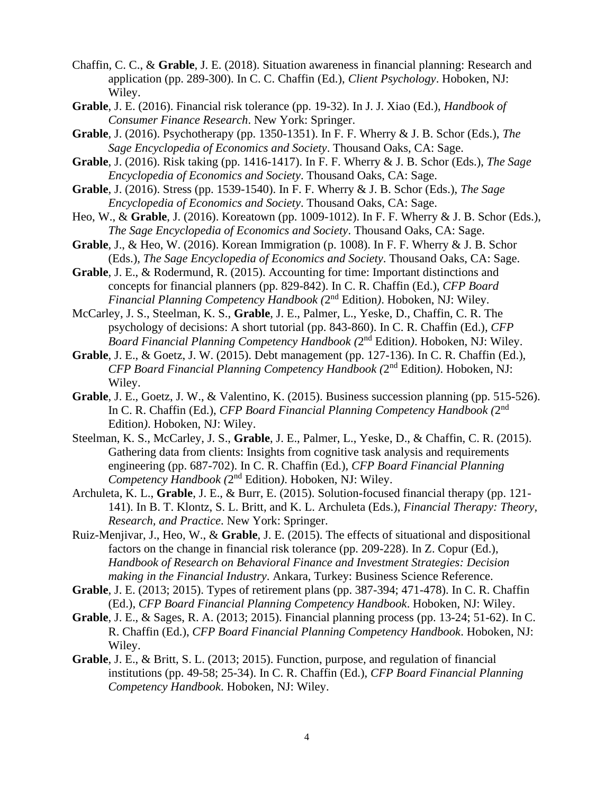- Chaffin, C. C., & **Grable**, J. E. (2018). Situation awareness in financial planning: Research and application (pp. 289-300). In C. C. Chaffin (Ed.), *Client Psychology*. Hoboken, NJ: Wiley.
- **Grable**, J. E. (2016). Financial risk tolerance (pp. 19-32). In J. J. Xiao (Ed.), *Handbook of Consumer Finance Research*. New York: Springer.
- **Grable**, J. (2016). Psychotherapy (pp. 1350-1351). In F. F. Wherry & J. B. Schor (Eds.), *The Sage Encyclopedia of Economics and Society*. Thousand Oaks, CA: Sage.
- **Grable**, J. (2016). Risk taking (pp. 1416-1417). In F. F. Wherry & J. B. Schor (Eds.), *The Sage Encyclopedia of Economics and Society*. Thousand Oaks, CA: Sage.
- **Grable**, J. (2016). Stress (pp. 1539-1540). In F. F. Wherry & J. B. Schor (Eds.), *The Sage Encyclopedia of Economics and Society*. Thousand Oaks, CA: Sage.
- Heo, W., & **Grable**, J. (2016). Koreatown (pp. 1009-1012). In F. F. Wherry & J. B. Schor (Eds.), *The Sage Encyclopedia of Economics and Society*. Thousand Oaks, CA: Sage.
- **Grable**, J., & Heo, W. (2016). Korean Immigration (p. 1008). In F. F. Wherry & J. B. Schor (Eds.), *The Sage Encyclopedia of Economics and Society*. Thousand Oaks, CA: Sage.
- **Grable**, J. E., & Rodermund, R. (2015). Accounting for time: Important distinctions and concepts for financial planners (pp. 829-842). In C. R. Chaffin (Ed.), *CFP Board*  Financial Planning Competency Handbook (2<sup>nd</sup> Edition). Hoboken, NJ: Wiley.
- McCarley, J. S., Steelman, K. S., **Grable**, J. E., Palmer, L., Yeske, D., Chaffin, C. R. The psychology of decisions: A short tutorial (pp. 843-860). In C. R. Chaffin (Ed.), *CFP*  Board Financial Planning Competency Handbook (2<sup>nd</sup> Edition). Hoboken, NJ: Wiley.
- **Grable**, J. E., & Goetz, J. W. (2015). Debt management (pp. 127-136). In C. R. Chaffin (Ed.), *CFP Board Financial Planning Competency Handbook (*2 nd Edition*)*. Hoboken, NJ: Wiley.
- **Grable**, J. E., Goetz, J. W., & Valentino, K. (2015). Business succession planning (pp. 515-526). In C. R. Chaffin (Ed.), *CFP Board Financial Planning Competency Handbook (*2 nd Edition*)*. Hoboken, NJ: Wiley.
- Steelman, K. S., McCarley, J. S., **Grable**, J. E., Palmer, L., Yeske, D., & Chaffin, C. R. (2015). Gathering data from clients: Insights from cognitive task analysis and requirements engineering (pp. 687-702). In C. R. Chaffin (Ed.), *CFP Board Financial Planning*  Competency Handbook (2<sup>nd</sup> Edition). Hoboken, NJ: Wiley.
- Archuleta, K. L., **Grable**, J. E., & Burr, E. (2015). Solution-focused financial therapy (pp. 121- 141). In B. T. Klontz, S. L. Britt, and K. L. Archuleta (Eds.), *Financial Therapy: Theory, Research, and Practice*. New York: Springer.
- Ruiz-Menjivar, J., Heo, W., & **Grable**, J. E. (2015). The effects of situational and dispositional factors on the change in financial risk tolerance (pp. 209-228). In Z. Copur (Ed.), *Handbook of Research on Behavioral Finance and Investment Strategies: Decision making in the Financial Industry*. Ankara, Turkey: Business Science Reference.
- **Grable**, J. E. (2013; 2015). Types of retirement plans (pp. 387-394; 471-478). In C. R. Chaffin (Ed.), *CFP Board Financial Planning Competency Handbook*. Hoboken, NJ: Wiley.
- **Grable**, J. E., & Sages, R. A. (2013; 2015). Financial planning process (pp. 13-24; 51-62). In C. R. Chaffin (Ed.), *CFP Board Financial Planning Competency Handbook*. Hoboken, NJ: Wiley.
- **Grable**, J. E., & Britt, S. L. (2013; 2015). Function, purpose, and regulation of financial institutions (pp. 49-58; 25-34). In C. R. Chaffin (Ed.), *CFP Board Financial Planning Competency Handbook*. Hoboken, NJ: Wiley.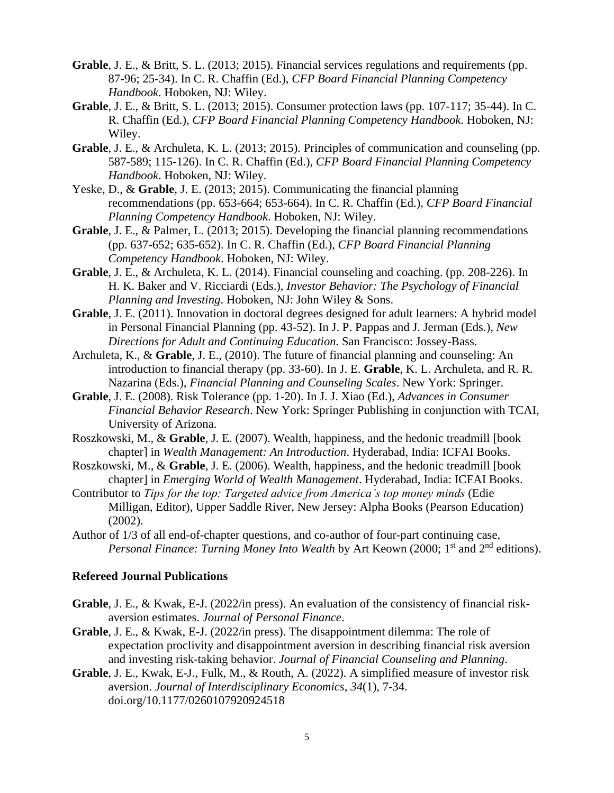- **Grable**, J. E., & Britt, S. L. (2013; 2015). Financial services regulations and requirements (pp. 87-96; 25-34). In C. R. Chaffin (Ed.), *CFP Board Financial Planning Competency Handbook*. Hoboken, NJ: Wiley.
- **Grable**, J. E., & Britt, S. L. (2013; 2015). Consumer protection laws (pp. 107-117; 35-44). In C. R. Chaffin (Ed.), *CFP Board Financial Planning Competency Handbook*. Hoboken, NJ: Wiley.
- **Grable**, J. E., & Archuleta, K. L. (2013; 2015). Principles of communication and counseling (pp. 587-589; 115-126). In C. R. Chaffin (Ed.), *CFP Board Financial Planning Competency Handbook*. Hoboken, NJ: Wiley.
- Yeske, D., & **Grable**, J. E. (2013; 2015). Communicating the financial planning recommendations (pp. 653-664; 653-664). In C. R. Chaffin (Ed.), *CFP Board Financial Planning Competency Handbook*. Hoboken, NJ: Wiley.
- **Grable**, J. E., & Palmer, L. (2013; 2015). Developing the financial planning recommendations (pp. 637-652; 635-652). In C. R. Chaffin (Ed.), *CFP Board Financial Planning Competency Handbook*. Hoboken, NJ: Wiley.
- **Grable**, J. E., & Archuleta, K. L. (2014). Financial counseling and coaching. (pp. 208-226). In H. K. Baker and V. Ricciardi (Eds.), *Investor Behavior: The Psychology of Financial Planning and Investing*. Hoboken, NJ: John Wiley & Sons.
- **Grable**, J. E. (2011). Innovation in doctoral degrees designed for adult learners: A hybrid model in Personal Financial Planning (pp. 43-52). In J. P. Pappas and J. Jerman (Eds.), *New Directions for Adult and Continuing Education.* San Francisco: Jossey-Bass.
- Archuleta, K., & **Grable**, J. E., (2010). The future of financial planning and counseling: An introduction to financial therapy (pp. 33-60). In J. E. **Grable**, K. L. Archuleta, and R. R. Nazarina (Eds.), *Financial Planning and Counseling Scales*. New York: Springer.
- **Grable**, J. E. (2008). Risk Tolerance (pp. 1-20). In J. J. Xiao (Ed.), *Advances in Consumer Financial Behavior Research*. New York: Springer Publishing in conjunction with TCAI, University of Arizona.
- Roszkowski, M., & **Grable**, J. E. (2007). Wealth, happiness, and the hedonic treadmill [book chapter] in *Wealth Management: An Introduction*. Hyderabad, India: ICFAI Books.
- Roszkowski, M., & **Grable**, J. E. (2006). Wealth, happiness, and the hedonic treadmill [book chapter] in *Emerging World of Wealth Management*. Hyderabad, India: ICFAI Books.
- Contributor to *Tips for the top: Targeted advice from America's top money minds* (Edie Milligan, Editor), Upper Saddle River, New Jersey: Alpha Books (Pearson Education) (2002).
- Author of 1/3 of all end-of-chapter questions, and co-author of four-part continuing case, *Personal Finance: Turning Money Into Wealth* by Art Keown (2000; 1<sup>st</sup> and 2<sup>nd</sup> editions).

#### **Refereed Journal Publications**

- **Grable**, J. E., & Kwak, E-J. (2022/in press). An evaluation of the consistency of financial riskaversion estimates. *Journal of Personal Finance*.
- **Grable**, J. E., & Kwak, E-J. (2022/in press). The disappointment dilemma: The role of expectation proclivity and disappointment aversion in describing financial risk aversion and investing risk-taking behavior. *Journal of Financial Counseling and Planning*.
- **Grable**, J. E., Kwak, E-J., Fulk, M., & Routh, A. (2022). A simplified measure of investor risk aversion. *Journal of Interdisciplinary Economics, 34*(1), 7-34. [doi.org/10.1177/0260107920924518](https://doi.org/10.1177%2F0260107920924518)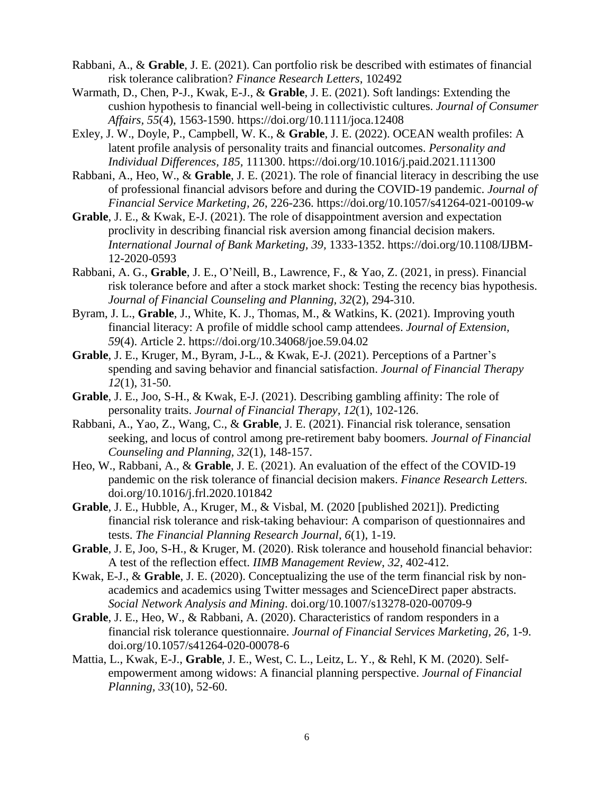- Rabbani, A., & **Grable**, J. E. (2021). Can portfolio risk be described with estimates of financial risk tolerance calibration? *Finance Research Letters*, 102492
- Warmath, D., Chen, P-J., Kwak, E-J., & **Grable**, J. E. (2021). Soft landings: Extending the cushion hypothesis to financial well-being in collectivistic cultures. *Journal of Consumer Affairs, 55*(4), 1563-1590. <https://doi.org/10.1111/joca.12408>
- Exley, J. W., Doyle, P., Campbell, W. K., & **Grable**, J. E. (2022). OCEAN wealth profiles: A latent profile analysis of personality traits and financial outcomes. *Personality and Individual Differences, 185,* 111300.<https://doi.org/10.1016/j.paid.2021.111300>
- Rabbani, A., Heo, W., & **Grable**, J. E. (2021). The role of financial literacy in describing the use of professional financial advisors before and during the COVID-19 pandemic. *Journal of Financial Service Marketing, 26*, 226-236. https://doi.org/10.1057/s41264-021-00109-w
- **Grable**, J. E., & Kwak, E-J. (2021). The role of disappointment aversion and expectation proclivity in describing financial risk aversion among financial decision makers. *International Journal of Bank Marketing, 39,* 1333-1352. [https://doi.org/10.1108/IJBM-](https://doi.org/10.1108/IJBM-12-2020-0593)[12-2020-0593](https://doi.org/10.1108/IJBM-12-2020-0593)
- Rabbani, A. G., **Grable**, J. E., O'Neill, B., Lawrence, F., & Yao, Z. (2021, in press). Financial risk tolerance before and after a stock market shock: Testing the recency bias hypothesis. *Journal of Financial Counseling and Planning, 32*(2), 294-310.
- Byram, J. L., **Grable**, J., White, K. J., Thomas, M., & Watkins, K. (2021). Improving youth financial literacy: A profile of middle school camp attendees. *Journal of Extension, 59*(4). Article 2.<https://doi.org/10.34068/joe.59.04.02>
- **Grable**, J. E., Kruger, M., Byram, J-L., & Kwak, E-J. (2021). Perceptions of a Partner's spending and saving behavior and financial satisfaction. *Journal of Financial Therapy 12*(1), 31-50.
- **Grable**, J. E., Joo, S-H., & Kwak, E-J. (2021). Describing gambling affinity: The role of personality traits. *Journal of Financial Therapy, 12*(1), 102-126.
- Rabbani, A., Yao, Z., Wang, C., & **Grable**, J. E. (2021). Financial risk tolerance, sensation seeking, and locus of control among pre-retirement baby boomers*. Journal of Financial Counseling and Planning, 32*(1), 148-157.
- Heo, W., Rabbani, A., & **Grable**, J. E. (2021). An evaluation of the effect of the COVID-19 pandemic on the risk tolerance of financial decision makers. *Finance Research Letters.* doi.org/10.1016/j.frl.2020.101842
- **Grable**, J. E., Hubble, A., Kruger, M., & Visbal, M. (2020 [published 2021]). Predicting financial risk tolerance and risk-taking behaviour: A comparison of questionnaires and tests. *The Financial Planning Research Journal*, *6*(1), 1-19.
- **Grable**, J. E, Joo, S-H., & Kruger, M. (2020). Risk tolerance and household financial behavior: A test of the reflection effect. *IIMB Management Review*, *32*, 402-412.
- Kwak, E-J., & **Grable**, J. E. (2020). Conceptualizing the use of the term financial risk by nonacademics and academics using Twitter messages and ScienceDirect paper abstracts. *Social Network Analysis and Mining*. [doi.org/10.1007/s13278-020-00709-9](https://doi.org/10.1007/s13278-020-00709-9)
- **Grable**, J. E., Heo, W., & Rabbani, A. (2020). Characteristics of random responders in a financial risk tolerance questionnaire. *Journal of Financial Services Marketing, 26,* 1-9. [doi.org/10.1057/s41264-020-00078-6](https://doi.org/10.1057/s41264-020-00078-6)
- Mattia, L., Kwak, E-J., **Grable**, J. E., West, C. L., Leitz, L. Y., & Rehl, K M. (2020). Selfempowerment among widows: A financial planning perspective. *Journal of Financial Planning, 33*(10), 52-60.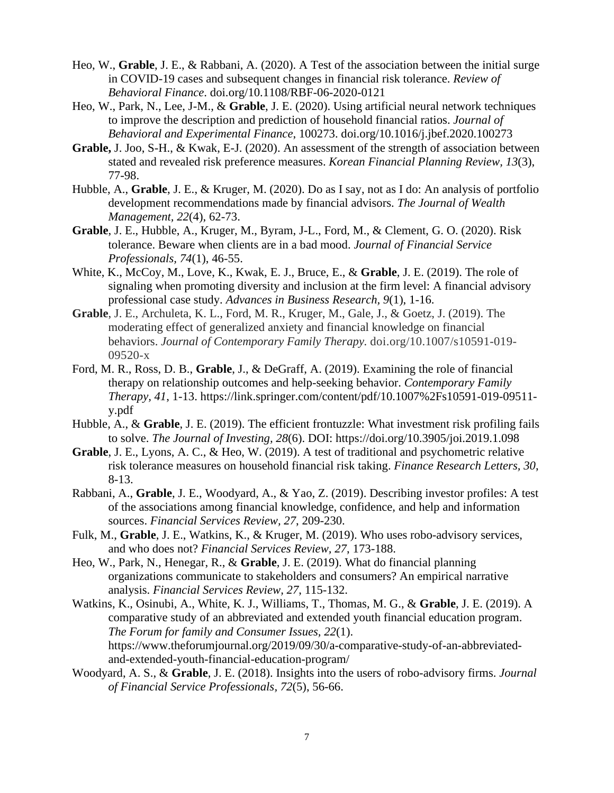- Heo, W., **Grable**, J. E., & Rabbani, A. (2020). A Test of the association between the initial surge in COVID-19 cases and subsequent changes in financial risk tolerance. *Review of Behavioral Finance*. [doi.org/10.1108/RBF-06-2020-0121](https://doi.org/10.1108/RBF-06-2020-0121)
- Heo, W., Park, N., Lee, J-M., & **Grable**, J. E. (2020). Using artificial neural network techniques to improve the description and prediction of household financial ratios. *Journal of Behavioral and Experimental Finance*, 100273. [doi.org/10.1016/j.jbef.2020.100273](https://doi.org/10.1016/j.jbef.2020.100273)
- **Grable,** J. Joo, S-H., & Kwak, E-J. (2020). An assessment of the strength of association between stated and revealed risk preference measures. *Korean Financial Planning Review, 13*(3), 77-98.
- Hubble, A., **Grable**, J. E., & Kruger, M. (2020). Do as I say, not as I do: An analysis of portfolio development recommendations made by financial advisors. *The Journal of Wealth Management, 22*(4), 62-73.
- **Grable**, J. E., Hubble, A., Kruger, M., Byram, J-L., Ford, M., & Clement, G. O. (2020). Risk tolerance. Beware when clients are in a bad mood. *Journal of Financial Service Professionals, 74*(1), 46-55.
- White, K., McCoy, M., Love, K., Kwak, E. J., Bruce, E., & **Grable**, J. E. (2019). The role of signaling when promoting diversity and inclusion at the firm level: A financial advisory professional case study. *Advances in Business Research, 9*(1), 1-16.
- **Grable**, J. E., Archuleta, K. L., Ford, M. R., Kruger, M., Gale, J., & Goetz, J. (2019). The moderating effect of generalized anxiety and financial knowledge on financial behaviors. *Journal of Contemporary Family Therapy.* doi.org/10.1007/s10591-019- 09520-x
- Ford, M. R., Ross, D. B., **Grable**, J., & DeGraff, A. (2019). Examining the role of financial therapy on relationship outcomes and help-seeking behavior. *Contemporary Family Therapy, 41*, 1-13. [https://link.springer.com/content/pdf/10.1007%2Fs10591-019-09511](https://link.springer.com/content/pdf/10.1007%2Fs10591-019-09511-y.pdf) [y.pdf](https://link.springer.com/content/pdf/10.1007%2Fs10591-019-09511-y.pdf)
- Hubble, A., & **Grable**, J. E. (2019). The efficient frontuzzle: What investment risk profiling fails to solve. *The Journal of Investing, 28*(6). DOI:<https://doi.org/10.3905/joi.2019.1.098>
- **Grable**, J. E., Lyons, A. C., & Heo, W. (2019). A test of traditional and psychometric relative risk tolerance measures on household financial risk taking. *Finance Research Letters, 30*, 8-13.
- Rabbani, A., **Grable**, J. E., Woodyard, A., & Yao, Z. (2019). Describing investor profiles: A test of the associations among financial knowledge, confidence, and help and information sources. *Financial Services Review, 27*, 209-230.
- Fulk, M., **Grable**, J. E., Watkins, K., & Kruger, M. (2019). Who uses robo-advisory services, and who does not? *Financial Services Review, 27*, 173-188.
- Heo, W., Park, N., Henegar, R., & **Grable**, J. E. (2019). What do financial planning organizations communicate to stakeholders and consumers? An empirical narrative analysis. *Financial Services Review, 27*, 115-132.
- Watkins, K., Osinubi, A., White, K. J., Williams, T., Thomas, M. G., & **Grable**, J. E. (2019). A comparative study of an abbreviated and extended youth financial education program. *The Forum for family and Consumer Issues, 22*(1). [https://www.theforumjournal.org/2019/09/30/a-comparative-study-of-an-abbreviated](https://www.theforumjournal.org/2019/09/30/a-comparative-study-of-an-abbreviated-and-extended-youth-financial-education-program/)[and-extended-youth-financial-education-program/](https://www.theforumjournal.org/2019/09/30/a-comparative-study-of-an-abbreviated-and-extended-youth-financial-education-program/)
- Woodyard, A. S., & **Grable**, J. E. (2018). Insights into the users of robo-advisory firms. *Journal of Financial Service Professionals, 72*(5), 56-66.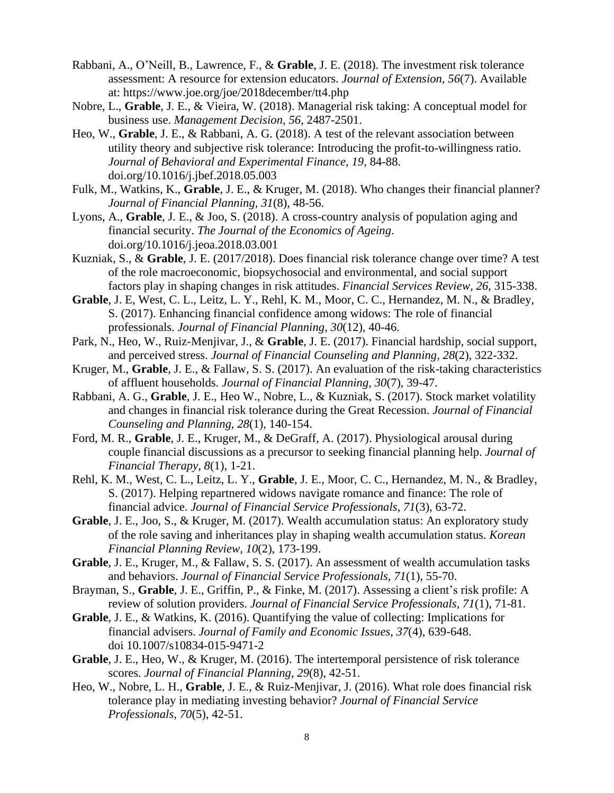- Rabbani, A., O'Neill, B., Lawrence, F., & **Grable**, J. E. (2018). The investment risk tolerance assessment: A resource for extension educators. *Journal of Extension, 56*(7). Available at: https://www.joe.org/joe/2018december/tt4.php
- Nobre, L., **Grable**, J. E., & Vieira, W. (2018). Managerial risk taking: A conceptual model for business use. *Management Decision, 56*, 2487-2501.
- Heo, W., **Grable**, J. E., & Rabbani, A. G. (2018). A test of the relevant association between utility theory and subjective risk tolerance: Introducing the profit-to-willingness ratio. *Journal of Behavioral and Experimental Finance, 19*, 84-88. [doi.org/10.1016/j.jbef.2018.05.003](https://doi.org/10.1016/j.jbef.2018.05.003)
- Fulk, M., Watkins, K., **Grable**, J. E., & Kruger, M. (2018). Who changes their financial planner? *Journal of Financial Planning, 31*(8), 48-56.
- Lyons, A., **Grable**, J. E., & Joo, S. (2018). A cross-country analysis of population aging and financial security. *The Journal of the Economics of Ageing*. [doi.org/10.1016/j.jeoa.2018.03.001](https://doi.org/10.1016/j.jeoa.2018.03.001)
- Kuzniak, S., & **Grable**, J. E. (2017/2018). Does financial risk tolerance change over time? A test of the role macroeconomic, biopsychosocial and environmental, and social support factors play in shaping changes in risk attitudes. *Financial Services Review, 26*, 315-338.
- **Grable**, J. E, West, C. L., Leitz, L. Y., Rehl, K. M., Moor, C. C., Hernandez, M. N., & Bradley, S. (2017). Enhancing financial confidence among widows: The role of financial professionals. *Journal of Financial Planning, 30*(12), 40-46.
- Park, N., Heo, W., Ruiz-Menjivar, J., & **Grable**, J. E. (2017). Financial hardship, social support, and perceived stress. *Journal of Financial Counseling and Planning, 28*(2), 322-332.
- Kruger, M., **Grable**, J. E., & Fallaw, S. S. (2017). An evaluation of the risk-taking characteristics of affluent households. *Journal of Financial Planning, 30*(7), 39-47.
- Rabbani, A. G., **Grable**, J. E., Heo W., Nobre, L., & Kuzniak, S. (2017). Stock market volatility and changes in financial risk tolerance during the Great Recession. *Journal of Financial Counseling and Planning, 28*(1), 140-154.
- Ford, M. R., **Grable**, J. E., Kruger, M., & DeGraff, A. (2017). Physiological arousal during couple financial discussions as a precursor to seeking financial planning help. *Journal of Financial Therapy, 8*(1), 1-21.
- Rehl, K. M., West, C. L., Leitz, L. Y., **Grable**, J. E., Moor, C. C., Hernandez, M. N., & Bradley, S. (2017). Helping repartnered widows navigate romance and finance: The role of financial advice. *Journal of Financial Service Professionals, 71*(3), 63-72.
- **Grable**, J. E., Joo, S., & Kruger, M. (2017). Wealth accumulation status: An exploratory study of the role saving and inheritances play in shaping wealth accumulation status. *Korean Financial Planning Review, 10*(2), 173-199.
- **Grable**, J. E., Kruger, M., & Fallaw, S. S. (2017). An assessment of wealth accumulation tasks and behaviors. *Journal of Financial Service Professionals, 71*(1), 55-70.
- Brayman, S., **Grable**, J. E., Griffin, P., & Finke, M. (2017). Assessing a client's risk profile: A review of solution providers. *Journal of Financial Service Professionals, 71*(1), 71-81.
- **Grable**, J. E., & Watkins, K. (2016). Quantifying the value of collecting: Implications for financial advisers. *Journal of Family and Economic Issues, 37*(4), 639-648. doi 10.1007/s10834-015-9471-2
- **Grable**, J. E., Heo, W., & Kruger, M. (2016). The intertemporal persistence of risk tolerance scores. *Journal of Financial Planning, 29*(8), 42-51.
- Heo, W., Nobre, L. H., **Grable**, J. E., & Ruiz-Menjivar, J. (2016). What role does financial risk tolerance play in mediating investing behavior? *Journal of Financial Service Professionals, 70*(5), 42-51.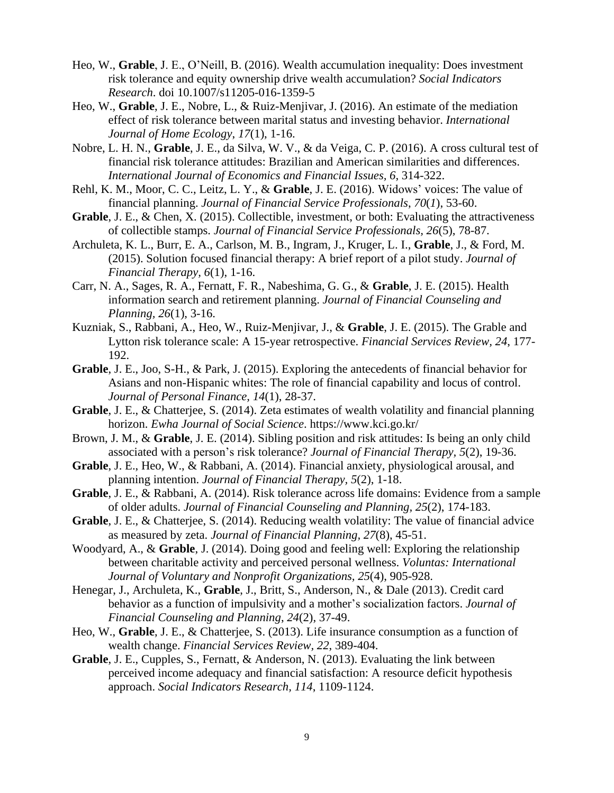- Heo, W., **Grable**, J. E., O'Neill, B. (2016). Wealth accumulation inequality: Does investment risk tolerance and equity ownership drive wealth accumulation? *Social Indicators Research*. doi 10.1007/s11205-016-1359-5
- Heo, W., **Grable**, J. E., Nobre, L., & Ruiz-Menjivar, J. (2016). An estimate of the mediation effect of risk tolerance between marital status and investing behavior. *International Journal of Home Ecology*, *17*(1), 1-16.
- Nobre, L. H. N., **Grable**, J. E., da Silva, W. V., & da Veiga, C. P. (2016). A cross cultural test of financial risk tolerance attitudes: Brazilian and American similarities and differences. *International Journal of Economics and Financial Issues, 6*, 314-322.
- Rehl, K. M., Moor, C. C., Leitz, L. Y., & **Grable**, J. E. (2016). Widows' voices: The value of financial planning. *Journal of Financial Service Professionals*, *70*(*1*), 53-60.
- Grable, J. E., & Chen, X. (2015). Collectible, investment, or both: Evaluating the attractiveness of collectible stamps. *Journal of Financial Service Professionals, 26*(5), 78-87.
- Archuleta, K. L., Burr, E. A., Carlson, M. B., Ingram, J., Kruger, L. I., **Grable**, J., & Ford, M. (2015). Solution focused financial therapy: A brief report of a pilot study. *Journal of Financial Therapy, 6*(1), 1-16.
- Carr, N. A., Sages, R. A., Fernatt, F. R., Nabeshima, G. G., & **Grable**, J. E. (2015). Health information search and retirement planning. *Journal of Financial Counseling and Planning, 26*(1), 3-16.
- Kuzniak, S., Rabbani, A., Heo, W., Ruiz-Menjivar, J., & **Grable**, J. E. (2015). The Grable and Lytton risk tolerance scale: A 15-year retrospective. *Financial Services Review, 24*, 177- 192.
- **Grable**, J. E., Joo, S-H., & Park, J. (2015). Exploring the antecedents of financial behavior for Asians and non-Hispanic whites: The role of financial capability and locus of control. *Journal of Personal Finance, 14*(1), 28-37.
- **Grable**, J. E., & Chatterjee, S. (2014). Zeta estimates of wealth volatility and financial planning horizon. *Ewha Journal of Social Science*. https://www.kci.go.kr/
- Brown, J. M., & **Grable**, J. E. (2014). Sibling position and risk attitudes: Is being an only child associated with a person's risk tolerance? *Journal of Financial Therapy, 5*(2), 19-36.
- **Grable**, J. E., Heo, W., & Rabbani, A. (2014). Financial anxiety, physiological arousal, and planning intention. *Journal of Financial Therapy, 5*(2), 1-18.
- **Grable**, J. E., & Rabbani, A. (2014). Risk tolerance across life domains: Evidence from a sample of older adults. *Journal of Financial Counseling and Planning, 25*(2), 174-183.
- **Grable**, J. E., & Chatterjee, S. (2014). Reducing wealth volatility: The value of financial advice as measured by zeta. *Journal of Financial Planning, 27*(8), 45-51.
- Woodyard, A., & **Grable**, J. (2014). Doing good and feeling well: Exploring the relationship between charitable activity and perceived personal wellness. *Voluntas: International Journal of Voluntary and Nonprofit Organizations, 25*(4), 905-928.
- Henegar, J., Archuleta, K., **Grable**, J., Britt, S., Anderson, N., & Dale (2013). Credit card behavior as a function of impulsivity and a mother's socialization factors. *Journal of Financial Counseling and Planning*, *24*(2), 37-49.
- Heo, W., **Grable**, J. E., & Chatterjee, S. (2013). Life insurance consumption as a function of wealth change. *Financial Services Review, 22*, 389-404.
- **Grable**, J. E., Cupples, S., Fernatt, & Anderson, N. (2013). Evaluating the link between perceived income adequacy and financial satisfaction: A resource deficit hypothesis approach. *Social Indicators Research, 114*, 1109-1124.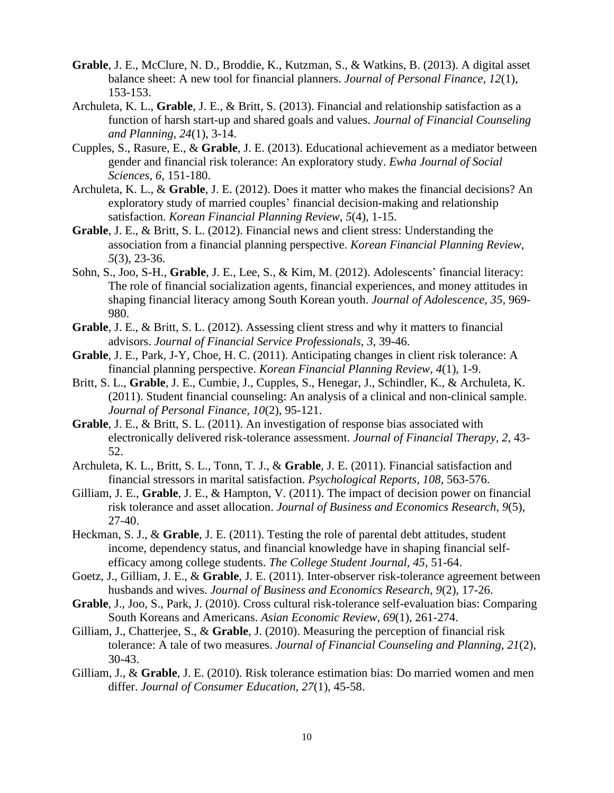- **Grable**, J. E., McClure, N. D., Broddie, K., Kutzman, S., & Watkins, B. (2013). A digital asset balance sheet: A new tool for financial planners. *Journal of Personal Finance, 12*(1), 153-153.
- Archuleta, K. L., **Grable**, J. E., & Britt, S. (2013). Financial and relationship satisfaction as a function of harsh start-up and shared goals and values. *Journal of Financial Counseling and Planning, 24*(1), 3-14.
- Cupples, S., Rasure, E., & **Grable**, J. E. (2013). Educational achievement as a mediator between gender and financial risk tolerance: An exploratory study. *Ewha Journal of Social Sciences, 6*, 151-180.
- Archuleta, K. L., & **Grable**, J. E. (2012). Does it matter who makes the financial decisions? An exploratory study of married couples' financial decision-making and relationship satisfaction. *Korean Financial Planning Review*, *5*(4), 1-15.
- **Grable**, J. E., & Britt, S. L. (2012). Financial news and client stress: Understanding the association from a financial planning perspective. *Korean Financial Planning Review, 5*(3), 23-36.
- Sohn, S., Joo, S-H., **Grable**, J. E., Lee, S., & Kim, M. (2012). Adolescents' financial literacy: The role of financial socialization agents, financial experiences, and money attitudes in shaping financial literacy among South Korean youth. *Journal of Adolescence, 35*, 969- 980.
- **Grable**, J. E., & Britt, S. L. (2012). Assessing client stress and why it matters to financial advisors. *Journal of Financial Service Professionals, 3*, 39-46.
- **Grable**, J. E., Park, J-Y, Choe, H. C. (2011). Anticipating changes in client risk tolerance: A financial planning perspective. *Korean Financial Planning Review, 4*(1), 1-9.
- Britt, S. L., **Grable**, J. E., Cumbie, J., Cupples, S., Henegar, J., Schindler, K., & Archuleta, K. (2011). Student financial counseling: An analysis of a clinical and non-clinical sample. *Journal of Personal Finance, 10*(2), 95-121.
- **Grable**, J. E., & Britt, S. L. (2011). An investigation of response bias associated with electronically delivered risk-tolerance assessment. *Journal of Financial Therapy, 2*, 43- 52.
- Archuleta, K. L., Britt, S. L., Tonn, T. J., & **Grable**, J. E. (2011). Financial satisfaction and financial stressors in marital satisfaction. *Psychological Reports, 108*, 563-576.
- Gilliam, J. E., **Grable**, J. E., & Hampton, V. (2011). The impact of decision power on financial risk tolerance and asset allocation. *Journal of Business and Economics Research, 9*(5), 27-40.
- Heckman, S. J., & **Grable**, J. E. (2011). Testing the role of parental debt attitudes, student income, dependency status, and financial knowledge have in shaping financial selfefficacy among college students. *The College Student Journal, 45*, 51-64.
- Goetz, J., Gilliam, J. E., & **Grable**, J. E. (2011). Inter-observer risk-tolerance agreement between husbands and wives. *Journal of Business and Economics Research, 9*(2), 17-26.
- **Grable**, J., Joo, S., Park, J. (2010). Cross cultural risk-tolerance self-evaluation bias: Comparing South Koreans and Americans. *Asian Economic Review, 69*(1), 261-274.
- Gilliam, J., Chatterjee, S., & **Grable**, J. (2010). Measuring the perception of financial risk tolerance: A tale of two measures. *Journal of Financial Counseling and Planning, 21*(2), 30-43.
- Gilliam, J., & **Grable**, J. E. (2010). Risk tolerance estimation bias: Do married women and men differ. *Journal of Consumer Education, 27*(1), 45-58.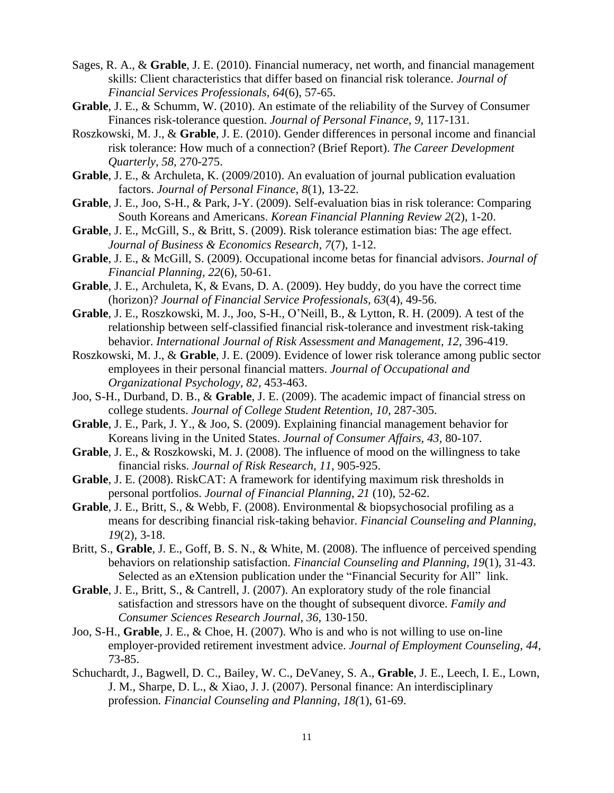- Sages, R. A., & **Grable**, J. E. (2010). Financial numeracy, net worth, and financial management skills: Client characteristics that differ based on financial risk tolerance. *Journal of Financial Services Professionals, 64*(6), 57-65.
- **Grable**, J. E., & Schumm, W. (2010). An estimate of the reliability of the Survey of Consumer Finances risk-tolerance question. *Journal of Personal Finance, 9*, 117-131.
- Roszkowski, M. J., & **Grable**, J. E. (2010). Gender differences in personal income and financial risk tolerance: How much of a connection? (Brief Report). *The Career Development Quarterly, 58,* 270-275.
- **Grable**, J. E., & Archuleta, K. (2009/2010). An evaluation of journal publication evaluation factors. *Journal of Personal Finance, 8*(1), 13-22.
- **Grable**, J. E., Joo, S-H., & Park, J-Y. (2009). Self-evaluation bias in risk tolerance: Comparing South Koreans and Americans. *Korean Financial Planning Review 2*(2), 1-20.
- **Grable**, J. E., McGill, S., & Britt, S. (2009). Risk tolerance estimation bias: The age effect. *Journal of Business & Economics Research, 7*(7), 1-12.
- **Grable**, J. E., & McGill, S. (2009). Occupational income betas for financial advisors. *Journal of Financial Planning, 22*(6), 50-61.
- **Grable**, J. E., Archuleta, K, & Evans, D. A. (2009). Hey buddy, do you have the correct time (horizon)? *Journal of Financial Service Professionals, 63*(4), 49-56.
- **Grable**, J. E., Roszkowski, M. J., Joo, S-H., O'Neill, B., & Lytton, R. H. (2009). A test of the relationship between self-classified financial risk-tolerance and investment risk-taking behavior. *International Journal of Risk Assessment and Management, 12,* 396-419.
- Roszkowski, M. J., & **Grable**, J. E. (2009). Evidence of lower risk tolerance among public sector employees in their personal financial matters. *Journal of Occupational and Organizational Psychology, 82,* 453-463.
- Joo, S-H., Durband, D. B., & **Grable**, J. E. (2009). The academic impact of financial stress on college students. *Journal of College Student Retention, 10,* 287-305.
- **Grable**, J. E., Park, J. Y., & Joo, S. (2009). Explaining financial management behavior for Koreans living in the United States. *Journal of Consumer Affairs, 43,* 80-107*.*
- **Grable**, J. E., & Roszkowski, M. J. (2008). The influence of mood on the willingness to take financial risks. *Journal of Risk Research, 11*, 905-925.
- **Grable**, J. E. (2008). RiskCAT: A framework for identifying maximum risk thresholds in personal portfolios. *Journal of Financial Planning, 21* (10), 52-62.
- **Grable**, J. E., Britt, S., & Webb, F. (2008). Environmental & biopsychosocial profiling as a means for describing financial risk-taking behavior. *Financial Counseling and Planning, 19*(2), 3-18.
- Britt, S., **Grable**, J. E., Goff, B. S. N., & White, M. (2008). The influence of perceived spending behaviors on relationship satisfaction. *Financial Counseling and Planning, 19*(1), 31-43. Selected as an eXtension publication under the "Financial Security for All" link.
- **Grable**, J. E., Britt, S., & Cantrell, J. (2007). An exploratory study of the role financial satisfaction and stressors have on the thought of subsequent divorce. *Family and Consumer Sciences Research Journal, 36,* 130-150.
- Joo, S-H., **Grable**, J. E., & Choe, H. (2007). Who is and who is not willing to use on-line employer-provided retirement investment advice. *Journal of Employment Counseling, 44,* 73-85.
- Schuchardt, J., Bagwell, D. C., Bailey, W. C., DeVaney, S. A., **Grable**, J. E., Leech, I. E., Lown, J. M., Sharpe, D. L., & Xiao, J. J. (2007). Personal finance: An interdisciplinary profession*. Financial Counseling and Planning, 18(*1), 61-69.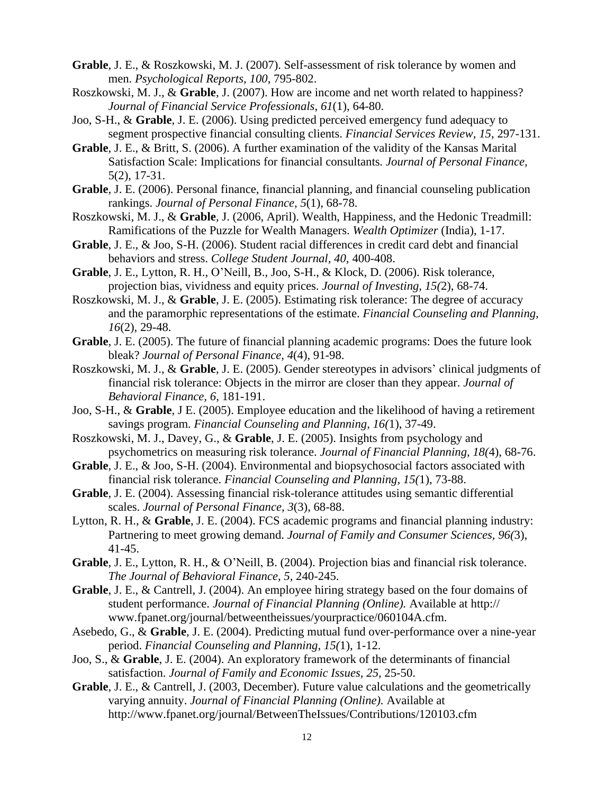- **Grable**, J. E., & Roszkowski, M. J. (2007). Self-assessment of risk tolerance by women and men. *Psychological Reports, 100*, 795-802.
- Roszkowski, M. J., & **Grable**, J. (2007). How are income and net worth related to happiness? *Journal of Financial Service Professionals*, *61*(1), 64-80.
- Joo, S-H., & **Grable**, J. E. (2006). Using predicted perceived emergency fund adequacy to segment prospective financial consulting clients. *Financial Services Review, 15*, 297-131.
- **Grable**, J. E., & Britt, S. (2006). A further examination of the validity of the Kansas Marital Satisfaction Scale: Implications for financial consultants*. Journal of Personal Finance,*  5(2), 17-31.
- **Grable**, J. E. (2006). Personal finance, financial planning, and financial counseling publication rankings. *Journal of Personal Finance, 5*(1), 68-78.
- Roszkowski, M. J., & **Grable**, J. (2006, April). Wealth, Happiness, and the Hedonic Treadmill: Ramifications of the Puzzle for Wealth Managers. *Wealth Optimizer* (India), 1-17.
- **Grable**, J. E., & Joo, S-H. (2006). Student racial differences in credit card debt and financial behaviors and stress. *College Student Journal, 40,* 400-408.
- **Grable**, J. E., Lytton, R. H., O'Neill, B., Joo, S-H., & Klock, D. (2006). Risk tolerance, projection bias, vividness and equity prices. *Journal of Investing, 15(*2), 68-74.
- Roszkowski, M. J., & **Grable**, J. E. (2005). Estimating risk tolerance: The degree of accuracy and the paramorphic representations of the estimate. *Financial Counseling and Planning, 16*(2), 29-48.
- **Grable**, J. E. (2005). The future of financial planning academic programs: Does the future look bleak? *Journal of Personal Finance, 4*(4), 91-98.
- Roszkowski, M. J., & **Grable**, J. E. (2005). Gender stereotypes in advisors' clinical judgments of financial risk tolerance: Objects in the mirror are closer than they appear. *Journal of Behavioral Finance, 6,* 181-191.
- Joo, S-H., & **Grable**, J E. (2005). Employee education and the likelihood of having a retirement savings program. *Financial Counseling and Planning, 16(*1), 37-49.
- Roszkowski, M. J., Davey, G., & **Grable**, J. E. (2005). Insights from psychology and psychometrics on measuring risk tolerance. *Journal of Financial Planning, 18(*4), 68-76.
- **Grable**, J. E., & Joo, S-H. (2004). Environmental and biopsychosocial factors associated with financial risk tolerance. *Financial Counseling and Planning, 15(*1), 73-88.
- **Grable**, J. E. (2004). Assessing financial risk-tolerance attitudes using semantic differential scales. *Journal of Personal Finance, 3*(3), 68-88.
- Lytton, R. H., & **Grable**, J. E. (2004). FCS academic programs and financial planning industry: Partnering to meet growing demand. *Journal of Family and Consumer Sciences, 96(*3), 41-45.
- **Grable**, J. E., Lytton, R. H., & O'Neill, B. (2004). Projection bias and financial risk tolerance. *The Journal of Behavioral Finance, 5,* 240-245.
- **Grable**, J. E., & Cantrell, J. (2004). An employee hiring strategy based on the four domains of student performance. *Journal of Financial Planning (Online).* Available at http:// [www.fpanet.org/journal/betweentheissues/yourpractice/060104A.cfm.](http://www.fpanet.org/journal/betweentheissues/yourpractice/060104A.cfm)
- Asebedo, G., & **Grable**, J. E. (2004). Predicting mutual fund over-performance over a nine-year period. *Financial Counseling and Planning, 15(*1), 1-12.
- Joo, S., & **Grable**, J. E. (2004). An exploratory framework of the determinants of financial satisfaction. *Journal of Family and Economic Issues, 25,* 25-50.
- **Grable**, J. E., & Cantrell, J. (2003, December). Future value calculations and the geometrically varying annuity. *Journal of Financial Planning (Online).* Available at http://www.fpanet.org/journal/BetweenTheIssues/Contributions/120103.cfm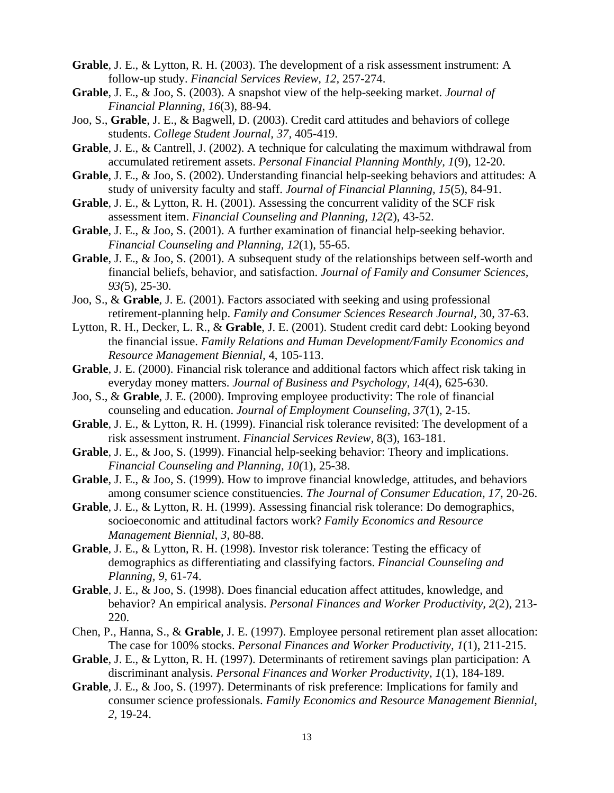- **Grable**, J. E., & Lytton, R. H. (2003). The development of a risk assessment instrument: A follow-up study. *Financial Services Review, 12,* 257-274.
- **Grable**, J. E., & Joo, S. (2003). A snapshot view of the help-seeking market. *Journal of Financial Planning, 16*(3), 88-94.
- Joo, S., **Grable**, J. E., & Bagwell, D. (2003). Credit card attitudes and behaviors of college students. *College Student Journal, 37,* 405-419.
- **Grable**, J. E., & Cantrell, J. (2002). A technique for calculating the maximum withdrawal from accumulated retirement assets. *Personal Financial Planning Monthly, 1*(9), 12-20.
- **Grable**, J. E., & Joo, S. (2002). Understanding financial help-seeking behaviors and attitudes: A study of university faculty and staff. *Journal of Financial Planning, 15*(5), 84-91.
- **Grable**, J. E., & Lytton, R. H. (2001). Assessing the concurrent validity of the SCF risk assessment item. *Financial Counseling and Planning, 12(*2), 43-52.
- **Grable**, J. E., & Joo, S. (2001). A further examination of financial help-seeking behavior. *Financial Counseling and Planning, 12*(1), 55-65.
- **Grable**, J. E., & Joo, S. (2001). A subsequent study of the relationships between self-worth and financial beliefs, behavior, and satisfaction. *Journal of Family and Consumer Sciences, 93(*5), 25-30.
- Joo, S., & **Grable**, J. E. (2001). Factors associated with seeking and using professional retirement-planning help. *Family and Consumer Sciences Research Journal,* 30, 37-63.
- Lytton, R. H., Decker, L. R., & **Grable**, J. E. (2001). Student credit card debt: Looking beyond the financial issue. *Family Relations and Human Development/Family Economics and Resource Management Biennial,* 4, 105-113.
- **Grable**, J. E. (2000). Financial risk tolerance and additional factors which affect risk taking in everyday money matters. *Journal of Business and Psychology, 14*(4), 625-630.
- Joo, S., & **Grable**, J. E. (2000). Improving employee productivity: The role of financial counseling and education. *Journal of Employment Counseling, 37*(1), 2-15.
- **Grable**, J. E., & Lytton, R. H. (1999). Financial risk tolerance revisited: The development of a risk assessment instrument. *Financial Services Review,* 8(3), 163-181.
- **Grable**, J. E., & Joo, S. (1999). Financial help-seeking behavior: Theory and implications. *Financial Counseling and Planning, 10(*1), 25-38.
- **Grable**, J. E., & Joo, S. (1999). How to improve financial knowledge, attitudes, and behaviors among consumer science constituencies. *The Journal of Consumer Education, 17*, 20-26.
- **Grable**, J. E., & Lytton, R. H. (1999). Assessing financial risk tolerance: Do demographics, socioeconomic and attitudinal factors work? *Family Economics and Resource Management Biennial, 3,* 80-88.
- **Grable**, J. E., & Lytton, R. H. (1998). Investor risk tolerance: Testing the efficacy of demographics as differentiating and classifying factors. *Financial Counseling and Planning, 9,* 61-74.
- **Grable**, J. E., & Joo, S. (1998). Does financial education affect attitudes, knowledge, and behavior? An empirical analysis. *Personal Finances and Worker Productivity, 2*(2), 213- 220.
- Chen, P., Hanna, S., & **Grable**, J. E. (1997). Employee personal retirement plan asset allocation: The case for 100% stocks. *Personal Finances and Worker Productivity, 1*(1), 211-215.
- **Grable**, J. E., & Lytton, R. H. (1997). Determinants of retirement savings plan participation: A discriminant analysis. *Personal Finances and Worker Productivity, 1*(1), 184-189.
- **Grable**, J. E., & Joo, S. (1997). Determinants of risk preference: Implications for family and consumer science professionals. *Family Economics and Resource Management Biennial, 2,* 19-24.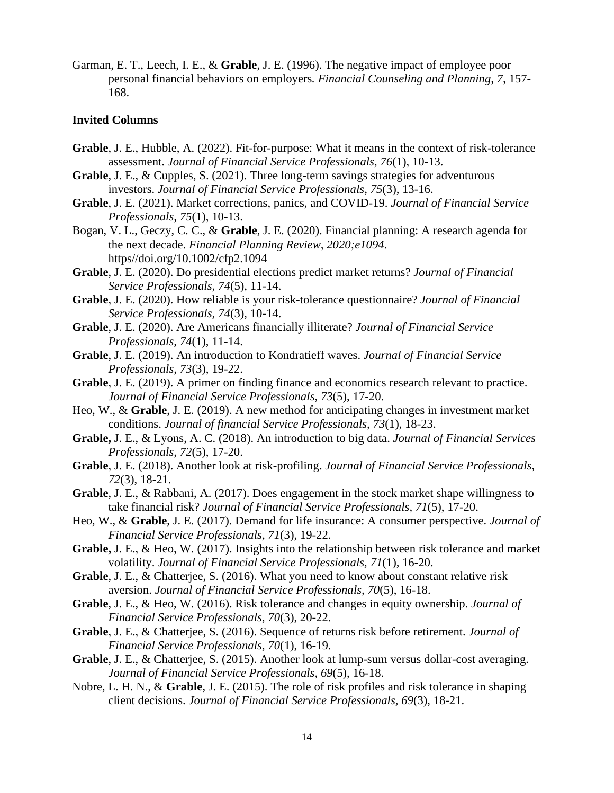Garman, E. T., Leech, I. E., & **Grable**, J. E. (1996). The negative impact of employee poor personal financial behaviors on employers*. Financial Counseling and Planning, 7,* 157- 168.

#### **Invited Columns**

- **Grable**, J. E., Hubble, A. (2022). Fit-for-purpose: What it means in the context of risk-tolerance assessment. *Journal of Financial Service Professionals, 76*(1), 10-13.
- **Grable**, J. E., & Cupples, S. (2021). Three long-term savings strategies for adventurous investors. *Journal of Financial Service Professionals, 75*(3), 13-16.
- **Grable**, J. E. (2021). Market corrections, panics, and COVID-19. *Journal of Financial Service Professionals, 75*(1), 10-13.
- Bogan, V. L., Geczy, C. C., & **Grable**, J. E. (2020). Financial planning: A research agenda for the next decade. *Financial Planning Review, 2020;e1094*. https//doi.org/10.1002/cfp2.1094
- **Grable**, J. E. (2020). Do presidential elections predict market returns? *Journal of Financial Service Professionals, 74*(5), 11-14.
- **Grable**, J. E. (2020). How reliable is your risk-tolerance questionnaire? *Journal of Financial Service Professionals, 74*(3), 10-14.
- **Grable**, J. E. (2020). Are Americans financially illiterate? *Journal of Financial Service Professionals, 74*(1), 11-14.
- **Grable**, J. E. (2019). An introduction to Kondratieff waves. *Journal of Financial Service Professionals, 73*(3), 19-22.
- **Grable**, J. E. (2019). A primer on finding finance and economics research relevant to practice. *Journal of Financial Service Professionals, 73*(5), 17-20.
- Heo, W., & **Grable**, J. E. (2019). A new method for anticipating changes in investment market conditions. *Journal of financial Service Professionals, 73*(1), 18-23.
- **Grable,** J. E., & Lyons, A. C. (2018). An introduction to big data. *Journal of Financial Services Professionals, 72*(5), 17-20.
- **Grable**, J. E. (2018). Another look at risk-profiling. *Journal of Financial Service Professionals, 72*(3), 18-21.
- **Grable**, J. E., & Rabbani, A. (2017). Does engagement in the stock market shape willingness to take financial risk? *Journal of Financial Service Professionals, 71*(5), 17-20.
- Heo, W., & **Grable**, J. E. (2017). Demand for life insurance: A consumer perspective. *Journal of Financial Service Professionals, 71*(3), 19-22.
- **Grable,** J. E., & Heo, W. (2017). Insights into the relationship between risk tolerance and market volatility. *Journal of Financial Service Professionals, 71*(1), 16-20.
- **Grable**, J. E., & Chatterjee, S. (2016). What you need to know about constant relative risk aversion. *Journal of Financial Service Professionals, 70*(5), 16-18.
- **Grable**, J. E., & Heo, W. (2016). Risk tolerance and changes in equity ownership. *Journal of Financial Service Professionals*, *70*(3), 20-22.
- **Grable**, J. E., & Chatterjee, S. (2016). Sequence of returns risk before retirement. *Journal of Financial Service Professionals, 70*(1), 16-19.
- **Grable**, J. E., & Chatterjee, S. (2015). Another look at lump-sum versus dollar-cost averaging. *Journal of Financial Service Professionals, 69*(5), 16-18.
- Nobre, L. H. N., & **Grable**, J. E. (2015). The role of risk profiles and risk tolerance in shaping client decisions. *Journal of Financial Service Professionals, 69*(3), 18-21.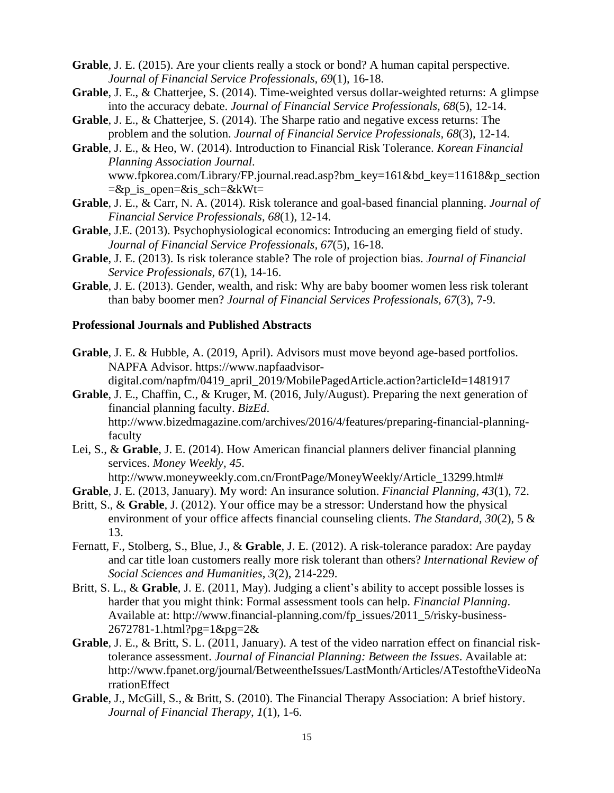- **Grable**, J. E. (2015). Are your clients really a stock or bond? A human capital perspective. *Journal of Financial Service Professionals, 69*(1), 16-18.
- **Grable**, J. E., & Chatterjee, S. (2014). Time-weighted versus dollar-weighted returns: A glimpse into the accuracy debate. *Journal of Financial Service Professionals, 68*(5), 12-14.
- **Grable**, J. E., & Chatterjee, S. (2014). The Sharpe ratio and negative excess returns: The problem and the solution. *Journal of Financial Service Professionals, 68*(3), 12-14.
- **Grable**, J. E., & Heo, W. (2014). Introduction to Financial Risk Tolerance. *Korean Financial Planning Association Journal*. [www.fpkorea.com/Library/FP.journal.read.asp?bm\\_key=161&bd\\_key=11618&p\\_section](http://www.fpkorea.com/Library/FP.journal.read.asp?bm_key=161&bd_key=11618&p_section=&p_is_open=&is_sch=&kWt)  $=\&p$  is open=&is sch=&kWt=
- **Grable**, J. E., & Carr, N. A. (2014). Risk tolerance and goal-based financial planning. *Journal of Financial Service Professionals, 68*(1), 12-14.
- **Grable**, J.E. (2013). Psychophysiological economics: Introducing an emerging field of study. *Journal of Financial Service Professionals, 67*(5), 16-18.
- **Grable**, J. E. (2013). Is risk tolerance stable? The role of projection bias. *Journal of Financial Service Professionals, 67*(1), 14-16.
- **Grable**, J. E. (2013). Gender, wealth, and risk: Why are baby boomer women less risk tolerant than baby boomer men? *Journal of Financial Services Professionals, 67*(3), 7-9.

### **Professional Journals and Published Abstracts**

- **Grable**, J. E. & Hubble, A. (2019, April). Advisors must move beyond age-based portfolios. NAPFA Advisor. [https://www.napfaadvisor](https://www.napfaadvisor-digital.com/napfm/0419_april_2019/MobilePagedArticle.action?articleId=1481917)[digital.com/napfm/0419\\_april\\_2019/MobilePagedArticle.action?articleId=1481917](https://www.napfaadvisor-digital.com/napfm/0419_april_2019/MobilePagedArticle.action?articleId=1481917)
- **Grable**, J. E., Chaffin, C., & Kruger, M. (2016, July/August). Preparing the next generation of financial planning faculty. *BizEd*. http://www.bizedmagazine.com/archives/2016/4/features/preparing-financial-planningfaculty
- Lei, S., & **Grable**, J. E. (2014). How American financial planners deliver financial planning services. *Money Weekly, 45*.
	- http://www.moneyweekly.com.cn/FrontPage/MoneyWeekly/Article\_13299.html#
- **Grable**, J. E. (2013, January). My word: An insurance solution. *Financial Planning, 43*(1), 72.
- Britt, S., & **Grable**, J. (2012). Your office may be a stressor: Understand how the physical environment of your office affects financial counseling clients. *The Standard, 30*(2), 5 & 13.
- Fernatt, F., Stolberg, S., Blue, J., & **Grable**, J. E. (2012). A risk-tolerance paradox: Are payday and car title loan customers really more risk tolerant than others? *International Review of Social Sciences and Humanities, 3*(2), 214-229.
- Britt, S. L., & **Grable**, J. E. (2011, May). Judging a client's ability to accept possible losses is harder that you might think: Formal assessment tools can help. *Financial Planning*. Available at: http://www.financial-planning.com/fp\_issues/2011\_5/risky-business-2672781-1.html?pg=1&pg=2&
- **Grable**, J. E., & Britt, S. L. (2011, January). A test of the video narration effect on financial risktolerance assessment. *Journal of Financial Planning: Between the Issues*. Available at: http://www.fpanet.org/journal/BetweentheIssues/LastMonth/Articles/ATestoftheVideoNa rrationEffect
- **Grable**, J., McGill, S., & Britt, S. (2010). The Financial Therapy Association: A brief history. *Journal of Financial Therapy, 1*(1), 1-6.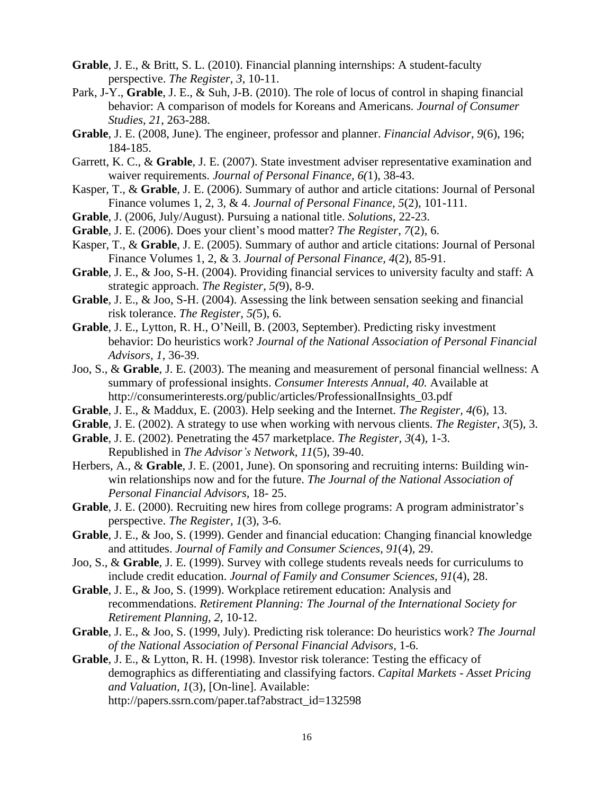- **Grable**, J. E., & Britt, S. L. (2010). Financial planning internships: A student-faculty perspective. *The Register, 3*, 10-11.
- Park, J-Y., **Grable**, J. E., & Suh, J-B. (2010). The role of locus of control in shaping financial behavior: A comparison of models for Koreans and Americans. *Journal of Consumer Studies, 21*, 263-288.
- **Grable**, J. E. (2008, June). The engineer, professor and planner. *Financial Advisor, 9*(6), 196; 184-185.
- Garrett, K. C., & **Grable**, J. E. (2007). State investment adviser representative examination and waiver requirements. *Journal of Personal Finance, 6(*1), 38-43.
- Kasper, T., & **Grable**, J. E. (2006). Summary of author and article citations: Journal of Personal Finance volumes 1, 2, 3, & 4. *Journal of Personal Finance, 5*(2), 101-111.
- **Grable**, J. (2006, July/August). Pursuing a national title. *Solutions*, 22-23.
- **Grable**, J. E. (2006). Does your client's mood matter? *The Register, 7*(2), 6.
- Kasper, T., & **Grable**, J. E. (2005). Summary of author and article citations: Journal of Personal Finance Volumes 1, 2, & 3. *Journal of Personal Finance, 4*(2), 85-91.
- **Grable**, J. E., & Joo, S-H. (2004). Providing financial services to university faculty and staff: A strategic approach. *The Register, 5(*9), 8-9.
- **Grable**, J. E., & Joo, S-H. (2004). Assessing the link between sensation seeking and financial risk tolerance. *The Register, 5(*5), 6.
- **Grable**, J. E., Lytton, R. H., O'Neill, B. (2003, September). Predicting risky investment behavior: Do heuristics work? *Journal of the National Association of Personal Financial Advisors, 1*, 36-39.
- Joo, S., & **Grable**, J. E. (2003). The meaning and measurement of personal financial wellness: A summary of professional insights. *Consumer Interests Annual, 40.* Available at http://consumerinterests.org/public/articles/ProfessionalInsights\_03.pdf
- **Grable**, J. E., & Maddux, E. (2003). Help seeking and the Internet. *The Register, 4(*6), 13.
- **Grable**, J. E. (2002). A strategy to use when working with nervous clients. *The Register, 3*(5), 3.
- **Grable**, J. E. (2002). Penetrating the 457 marketplace. *The Register, 3*(4), 1-3. Republished in *The Advisor's Network, 11*(5), 39-40.
- Herbers, A., & **Grable**, J. E. (2001, June). On sponsoring and recruiting interns: Building winwin relationships now and for the future. *The Journal of the National Association of Personal Financial Advisors,* 18- 25.
- **Grable**, J. E. (2000). Recruiting new hires from college programs: A program administrator's perspective. *The Register, 1*(3), 3-6.
- **Grable**, J. E., & Joo, S. (1999). Gender and financial education: Changing financial knowledge and attitudes. *Journal of Family and Consumer Sciences, 91*(4), 29.
- Joo, S., & **Grable**, J. E. (1999). Survey with college students reveals needs for curriculums to include credit education. *Journal of Family and Consumer Sciences, 91*(4), 28.
- **Grable**, J. E., & Joo, S. (1999). Workplace retirement education: Analysis and recommendations. *Retirement Planning: The Journal of the International Society for Retirement Planning, 2,* 10-12.
- **Grable**, J. E., & Joo, S. (1999, July). Predicting risk tolerance: Do heuristics work? *The Journal of the National Association of Personal Financial Advisors,* 1-6.
- **Grable**, J. E., & Lytton, R. H. (1998). Investor risk tolerance: Testing the efficacy of demographics as differentiating and classifying factors. *Capital Markets - Asset Pricing and Valuation, 1*(3), [On-line]. Available: [http://papers.](http://papers/)ssrn.com/paper.taf?abstract\_id=132598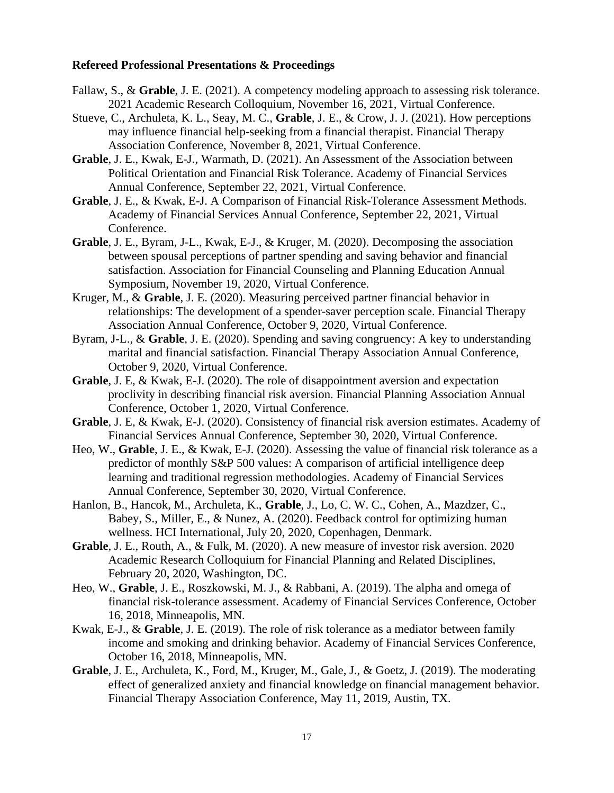#### **Refereed Professional Presentations & Proceedings**

- Fallaw, S., & **Grable**, J. E. (2021). A competency modeling approach to assessing risk tolerance. 2021 Academic Research Colloquium, November 16, 2021, Virtual Conference.
- Stueve, C., Archuleta, K. L., Seay, M. C., **Grable**, J. E., & Crow, J. J. (2021). How perceptions may influence financial help-seeking from a financial therapist. Financial Therapy Association Conference, November 8, 2021, Virtual Conference.
- **Grable**, J. E., Kwak, E-J., Warmath, D. (2021). An Assessment of the Association between Political Orientation and Financial Risk Tolerance. Academy of Financial Services Annual Conference, September 22, 2021, Virtual Conference.
- **Grable**, J. E., & Kwak, E-J. A Comparison of Financial Risk-Tolerance Assessment Methods. Academy of Financial Services Annual Conference, September 22, 2021, Virtual Conference.
- **Grable**, J. E., Byram, J-L., Kwak, E-J., & Kruger, M. (2020). Decomposing the association between spousal perceptions of partner spending and saving behavior and financial satisfaction. Association for Financial Counseling and Planning Education Annual Symposium, November 19, 2020, Virtual Conference.
- Kruger, M., & **Grable**, J. E. (2020). Measuring perceived partner financial behavior in relationships: The development of a spender-saver perception scale. Financial Therapy Association Annual Conference, October 9, 2020, Virtual Conference.
- Byram, J-L., & **Grable**, J. E. (2020). Spending and saving congruency: A key to understanding marital and financial satisfaction. Financial Therapy Association Annual Conference, October 9, 2020, Virtual Conference.
- **Grable**, J. E, & Kwak, E-J. (2020). The role of disappointment aversion and expectation proclivity in describing financial risk aversion. Financial Planning Association Annual Conference, October 1, 2020, Virtual Conference.
- **Grable**, J. E, & Kwak, E-J. (2020). Consistency of financial risk aversion estimates. Academy of Financial Services Annual Conference, September 30, 2020, Virtual Conference.
- Heo, W., **Grable**, J. E., & Kwak, E-J. (2020). Assessing the value of financial risk tolerance as a predictor of monthly S&P 500 values: A comparison of artificial intelligence deep learning and traditional regression methodologies. Academy of Financial Services Annual Conference, September 30, 2020, Virtual Conference.
- Hanlon, B., Hancok, M., Archuleta, K., **Grable**, J., Lo, C. W. C., Cohen, A., Mazdzer, C., Babey, S., Miller, E., & Nunez, A. (2020). Feedback control for optimizing human wellness. HCI International, July 20, 2020, Copenhagen, Denmark.
- **Grable**, J. E., Routh, A., & Fulk, M. (2020). A new measure of investor risk aversion. 2020 Academic Research Colloquium for Financial Planning and Related Disciplines, February 20, 2020, Washington, DC.
- Heo, W., **Grable**, J. E., Roszkowski, M. J., & Rabbani, A. (2019). The alpha and omega of financial risk-tolerance assessment. Academy of Financial Services Conference, October 16, 2018, Minneapolis, MN.
- Kwak, E-J., & **Grable**, J. E. (2019). The role of risk tolerance as a mediator between family income and smoking and drinking behavior. Academy of Financial Services Conference, October 16, 2018, Minneapolis, MN.
- **Grable**, J. E., Archuleta, K., Ford, M., Kruger, M., Gale, J., & Goetz, J. (2019). The moderating effect of generalized anxiety and financial knowledge on financial management behavior. Financial Therapy Association Conference, May 11, 2019, Austin, TX.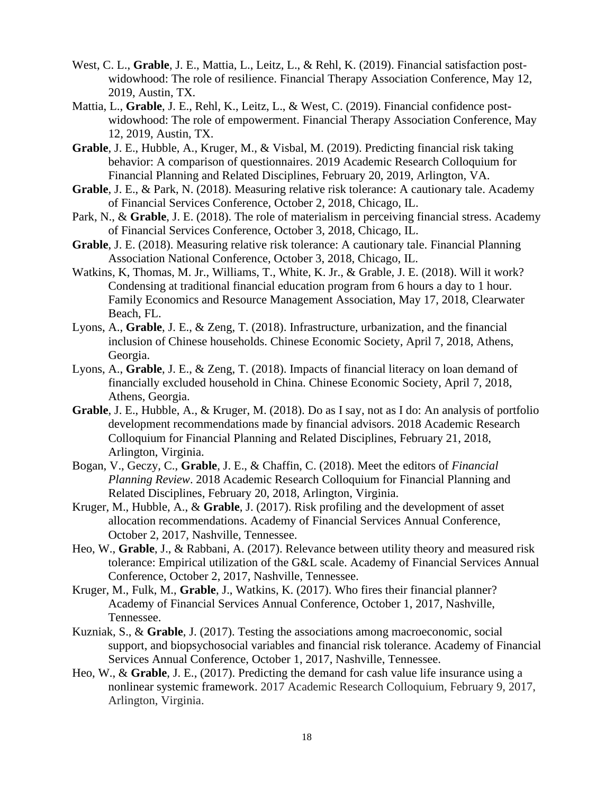- West, C. L., **Grable**, J. E., Mattia, L., Leitz, L., & Rehl, K. (2019). Financial satisfaction postwidowhood: The role of resilience. Financial Therapy Association Conference, May 12, 2019, Austin, TX.
- Mattia, L., **Grable**, J. E., Rehl, K., Leitz, L., & West, C. (2019). Financial confidence postwidowhood: The role of empowerment. Financial Therapy Association Conference, May 12, 2019, Austin, TX.
- **Grable**, J. E., Hubble, A., Kruger, M., & Visbal, M. (2019). Predicting financial risk taking behavior: A comparison of questionnaires. 2019 Academic Research Colloquium for Financial Planning and Related Disciplines, February 20, 2019, Arlington, VA.
- **Grable**, J. E., & Park, N. (2018). Measuring relative risk tolerance: A cautionary tale. Academy of Financial Services Conference, October 2, 2018, Chicago, IL.
- Park, N., & **Grable**, J. E. (2018). The role of materialism in perceiving financial stress. Academy of Financial Services Conference, October 3, 2018, Chicago, IL.
- **Grable**, J. E. (2018). Measuring relative risk tolerance: A cautionary tale. Financial Planning Association National Conference, October 3, 2018, Chicago, IL.
- Watkins, K, Thomas, M. Jr., Williams, T., White, K. Jr., & Grable, J. E. (2018). Will it work? Condensing at traditional financial education program from 6 hours a day to 1 hour. Family Economics and Resource Management Association, May 17, 2018, Clearwater Beach, FL.
- Lyons, A., **Grable**, J. E., & Zeng, T. (2018). Infrastructure, urbanization, and the financial inclusion of Chinese households. Chinese Economic Society, April 7, 2018, Athens, Georgia.
- Lyons, A., **Grable**, J. E., & Zeng, T. (2018). Impacts of financial literacy on loan demand of financially excluded household in China. Chinese Economic Society, April 7, 2018, Athens, Georgia.
- **Grable**, J. E., Hubble, A., & Kruger, M. (2018). Do as I say, not as I do: An analysis of portfolio development recommendations made by financial advisors. 2018 Academic Research Colloquium for Financial Planning and Related Disciplines, February 21, 2018, Arlington, Virginia.
- Bogan, V., Geczy, C., **Grable**, J. E., & Chaffin, C. (2018). Meet the editors of *Financial Planning Review*. 2018 Academic Research Colloquium for Financial Planning and Related Disciplines, February 20, 2018, Arlington, Virginia.
- Kruger, M., Hubble, A., & **Grable**, J. (2017). Risk profiling and the development of asset allocation recommendations. Academy of Financial Services Annual Conference, October 2, 2017, Nashville, Tennessee.
- Heo, W., **Grable**, J., & Rabbani, A. (2017). Relevance between utility theory and measured risk tolerance: Empirical utilization of the G&L scale. Academy of Financial Services Annual Conference, October 2, 2017, Nashville, Tennessee.
- Kruger, M., Fulk, M., **Grable**, J., Watkins, K. (2017). Who fires their financial planner? Academy of Financial Services Annual Conference, October 1, 2017, Nashville, Tennessee.
- Kuzniak, S., & **Grable**, J. (2017). Testing the associations among macroeconomic, social support, and biopsychosocial variables and financial risk tolerance. Academy of Financial Services Annual Conference, October 1, 2017, Nashville, Tennessee.
- Heo, W., & **Grable**, J. E., (2017). Predicting the demand for cash value life insurance using a nonlinear systemic framework. 2017 Academic Research Colloquium, February 9, 2017, Arlington, Virginia.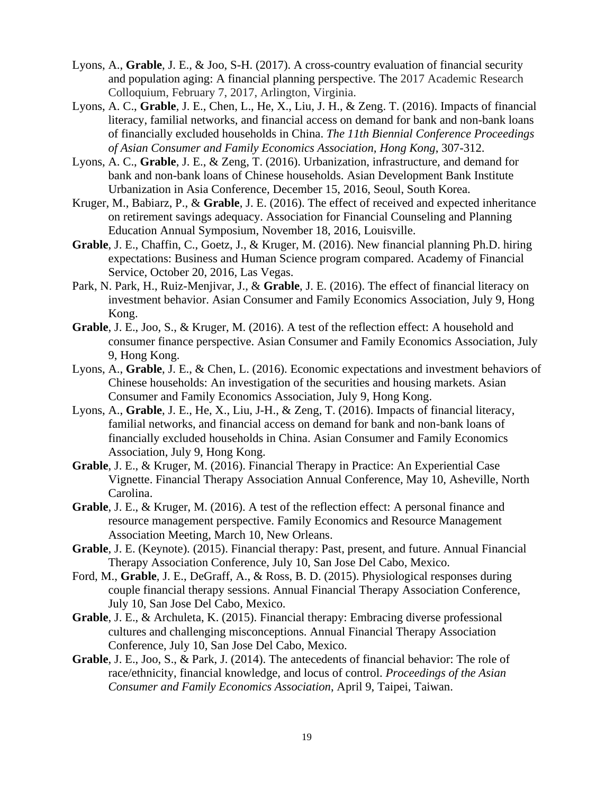- Lyons, A., **Grable**, J. E., & Joo, S-H. (2017). A cross-country evaluation of financial security and population aging: A financial planning perspective. The 2017 Academic Research Colloquium, February 7, 2017, Arlington, Virginia.
- Lyons, A. C., **Grable**, J. E., Chen, L., He, X., Liu, J. H., & Zeng. T. (2016). Impacts of financial literacy, familial networks, and financial access on demand for bank and non-bank loans of financially excluded households in China. *The 11th Biennial Conference Proceedings of Asian Consumer and Family Economics Association, Hong Kong*, 307-312.
- Lyons, A. C., **Grable**, J. E., & Zeng, T. (2016). Urbanization, infrastructure, and demand for bank and non-bank loans of Chinese households. Asian Development Bank Institute Urbanization in Asia Conference, December 15, 2016, Seoul, South Korea.
- Kruger, M., Babiarz, P., & **Grable**, J. E. (2016). The effect of received and expected inheritance on retirement savings adequacy. Association for Financial Counseling and Planning Education Annual Symposium, November 18, 2016, Louisville.
- **Grable**, J. E., Chaffin, C., Goetz, J., & Kruger, M. (2016). New financial planning Ph.D. hiring expectations: Business and Human Science program compared. Academy of Financial Service, October 20, 2016, Las Vegas.
- Park, N. Park, H., Ruiz-Menjivar, J., & **Grable**, J. E. (2016). The effect of financial literacy on investment behavior. Asian Consumer and Family Economics Association, July 9, Hong Kong.
- **Grable**, J. E., Joo, S., & Kruger, M. (2016). A test of the reflection effect: A household and consumer finance perspective. Asian Consumer and Family Economics Association, July 9, Hong Kong.
- Lyons, A., **Grable**, J. E., & Chen, L. (2016). Economic expectations and investment behaviors of Chinese households: An investigation of the securities and housing markets. Asian Consumer and Family Economics Association, July 9, Hong Kong.
- Lyons, A., **Grable**, J. E., He, X., Liu, J-H., & Zeng, T. (2016). Impacts of financial literacy, familial networks, and financial access on demand for bank and non-bank loans of financially excluded households in China. Asian Consumer and Family Economics Association, July 9, Hong Kong.
- **Grable**, J. E., & Kruger, M. (2016). Financial Therapy in Practice: An Experiential Case Vignette. Financial Therapy Association Annual Conference, May 10, Asheville, North Carolina.
- Grable, J. E., & Kruger, M. (2016). A test of the reflection effect: A personal finance and resource management perspective. Family Economics and Resource Management Association Meeting, March 10, New Orleans.
- **Grable**, J. E. (Keynote). (2015). Financial therapy: Past, present, and future. Annual Financial Therapy Association Conference, July 10, San Jose Del Cabo, Mexico.
- Ford, M., **Grable**, J. E., DeGraff, A., & Ross, B. D. (2015). Physiological responses during couple financial therapy sessions. Annual Financial Therapy Association Conference, July 10, San Jose Del Cabo, Mexico.
- **Grable**, J. E., & Archuleta, K. (2015). Financial therapy: Embracing diverse professional cultures and challenging misconceptions. Annual Financial Therapy Association Conference, July 10, San Jose Del Cabo, Mexico.
- **Grable**, J. E., Joo, S., & Park, J. (2014). The antecedents of financial behavior: The role of race/ethnicity, financial knowledge, and locus of control. *Proceedings of the Asian Consumer and Family Economics Association*, April 9, Taipei, Taiwan.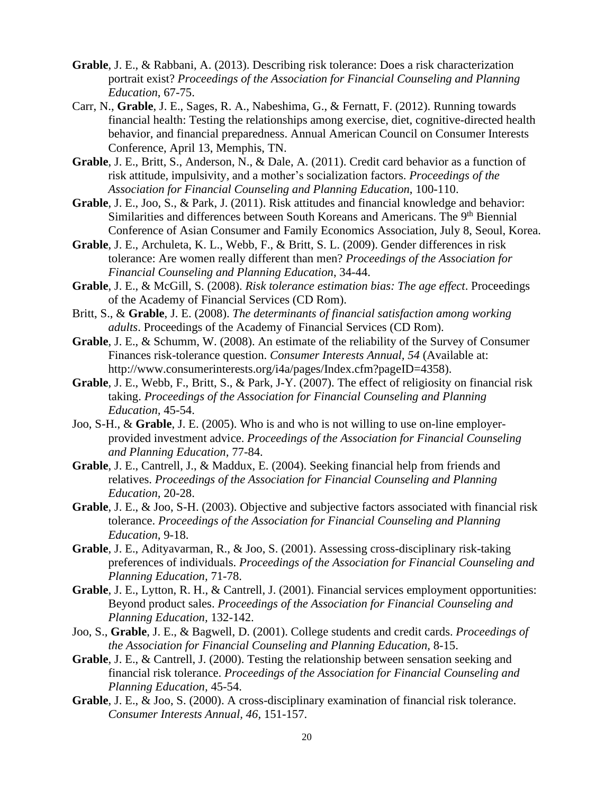- **Grable**, J. E., & Rabbani, A. (2013). Describing risk tolerance: Does a risk characterization portrait exist? *Proceedings of the Association for Financial Counseling and Planning Education*, 67-75.
- Carr, N., **Grable**, J. E., Sages, R. A., Nabeshima, G., & Fernatt, F. (2012). Running towards financial health: Testing the relationships among exercise, diet, cognitive-directed health behavior, and financial preparedness. Annual American Council on Consumer Interests Conference, April 13, Memphis, TN.
- **Grable**, J. E., Britt, S., Anderson, N., & Dale, A. (2011). Credit card behavior as a function of risk attitude, impulsivity, and a mother's socialization factors. *Proceedings of the Association for Financial Counseling and Planning Education*, 100-110.
- **Grable**, J. E., Joo, S., & Park, J. (2011). Risk attitudes and financial knowledge and behavior: Similarities and differences between South Koreans and Americans. The 9<sup>th</sup> Biennial Conference of Asian Consumer and Family Economics Association, July 8, Seoul, Korea.
- **Grable**, J. E., Archuleta, K. L., Webb, F., & Britt, S. L. (2009). Gender differences in risk tolerance: Are women really different than men? *Proceedings of the Association for Financial Counseling and Planning Education*, 34-44.
- **Grable**, J. E., & McGill, S. (2008). *Risk tolerance estimation bias: The age effect*. Proceedings of the Academy of Financial Services (CD Rom).
- Britt, S., & **Grable**, J. E. (2008). *The determinants of financial satisfaction among working adults*. Proceedings of the Academy of Financial Services (CD Rom).
- **Grable**, J. E., & Schumm, W. (2008). An estimate of the reliability of the Survey of Consumer Finances risk-tolerance question. *Consumer Interests Annual, 54* (Available at: http://www.consumerinterests.org/i4a/pages/Index.cfm?pageID=4358).
- **Grable**, J. E., Webb, F., Britt, S., & Park, J-Y. (2007). The effect of religiosity on financial risk taking. *Proceedings of the Association for Financial Counseling and Planning Education,* 45-54.
- Joo, S-H., & **Grable**, J. E. (2005). Who is and who is not willing to use on-line employerprovided investment advice. *Proceedings of the Association for Financial Counseling and Planning Education,* 77-84.
- **Grable**, J. E., Cantrell, J., & Maddux, E. (2004). Seeking financial help from friends and relatives. *Proceedings of the Association for Financial Counseling and Planning Education,* 20-28.
- **Grable**, J. E., & Joo, S-H. (2003). Objective and subjective factors associated with financial risk tolerance. *Proceedings of the Association for Financial Counseling and Planning Education,* 9-18.
- **Grable**, J. E., Adityavarman, R., & Joo, S. (2001). Assessing cross-disciplinary risk-taking preferences of individuals. *Proceedings of the Association for Financial Counseling and Planning Education,* 71-78.
- **Grable**, J. E., Lytton, R. H., & Cantrell, J. (2001). Financial services employment opportunities: Beyond product sales. *Proceedings of the Association for Financial Counseling and Planning Education,* 132-142.
- Joo, S., **Grable**, J. E., & Bagwell, D. (2001). College students and credit cards. *Proceedings of the Association for Financial Counseling and Planning Education,* 8-15.
- **Grable**, J. E., & Cantrell, J. (2000). Testing the relationship between sensation seeking and financial risk tolerance. *Proceedings of the Association for Financial Counseling and Planning Education,* 45-54.
- **Grable**, J. E., & Joo, S. (2000). A cross-disciplinary examination of financial risk tolerance. *Consumer Interests Annual, 46,* 151-157.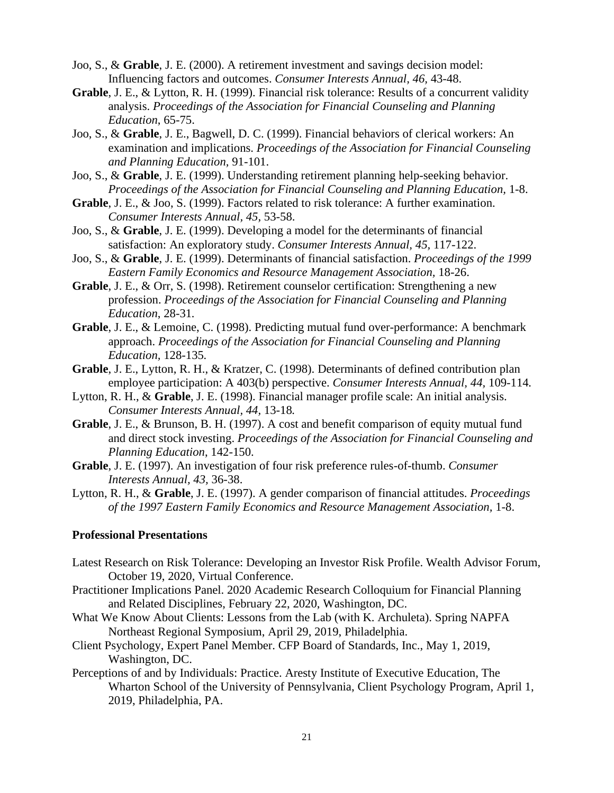- Joo, S., & **Grable**, J. E. (2000). A retirement investment and savings decision model: Influencing factors and outcomes. *Consumer Interests Annual, 46,* 43-48.
- **Grable**, J. E., & Lytton, R. H. (1999). Financial risk tolerance: Results of a concurrent validity analysis. *Proceedings of the Association for Financial Counseling and Planning Education*, 65-75.
- Joo, S., & **Grable**, J. E., Bagwell, D. C. (1999). Financial behaviors of clerical workers: An examination and implications. *Proceedings of the Association for Financial Counseling and Planning Education,* 91-101.
- Joo, S., & **Grable**, J. E. (1999). Understanding retirement planning help-seeking behavior. *Proceedings of the Association for Financial Counseling and Planning Education,* 1-8.
- **Grable**, J. E., & Joo, S. (1999). Factors related to risk tolerance: A further examination. *Consumer Interests Annual, 45,* 53-58.
- Joo, S., & **Grable**, J. E. (1999). Developing a model for the determinants of financial satisfaction: An exploratory study. *Consumer Interests Annual, 45,* 117-122.
- Joo, S., & **Grable**, J. E. (1999). Determinants of financial satisfaction. *Proceedings of the 1999 Eastern Family Economics and Resource Management Association,* 18-26.
- **Grable**, J. E., & Orr, S. (1998). Retirement counselor certification: Strengthening a new profession. *Proceedings of the Association for Financial Counseling and Planning Education*, 28-31*.*
- **Grable**, J. E., & Lemoine, C. (1998). Predicting mutual fund over-performance: A benchmark approach. *Proceedings of the Association for Financial Counseling and Planning Education,* 128-135*.*
- **Grable**, J. E., Lytton, R. H., & Kratzer, C. (1998). Determinants of defined contribution plan employee participation: A 403(b) perspective. *Consumer Interests Annual, 44,* 109-114*.*
- Lytton, R. H., & **Grable**, J. E. (1998). Financial manager profile scale: An initial analysis. *Consumer Interests Annual, 44,* 13-18*.*
- **Grable**, J. E., & Brunson, B. H. (1997). A cost and benefit comparison of equity mutual fund and direct stock investing. *Proceedings of the Association for Financial Counseling and Planning Education*, 142-150.
- **Grable**, J. E. (1997). An investigation of four risk preference rules-of-thumb. *Consumer Interests Annual, 43,* 36-38.
- Lytton, R. H., & **Grable**, J. E. (1997). A gender comparison of financial attitudes. *Proceedings of the 1997 Eastern Family Economics and Resource Management Association,* 1-8.

## **Professional Presentations**

- Latest Research on Risk Tolerance: Developing an Investor Risk Profile. Wealth Advisor Forum, October 19, 2020, Virtual Conference.
- Practitioner Implications Panel. 2020 Academic Research Colloquium for Financial Planning and Related Disciplines, February 22, 2020, Washington, DC.
- What We Know About Clients: Lessons from the Lab (with K. Archuleta). Spring NAPFA Northeast Regional Symposium, April 29, 2019, Philadelphia.
- Client Psychology, Expert Panel Member. CFP Board of Standards, Inc., May 1, 2019, Washington, DC.
- Perceptions of and by Individuals: Practice. Aresty Institute of Executive Education, The Wharton School of the University of Pennsylvania, Client Psychology Program, April 1, 2019, Philadelphia, PA.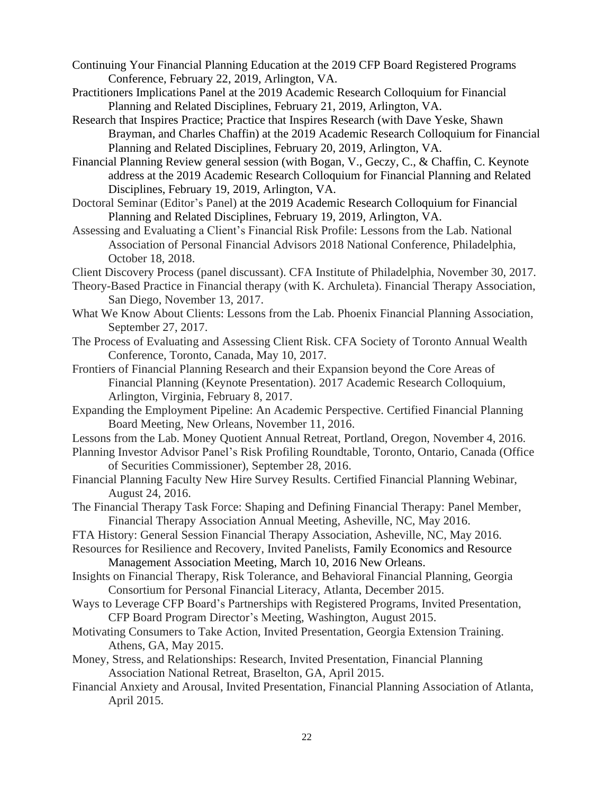- Continuing Your Financial Planning Education at the 2019 CFP Board Registered Programs Conference, February 22, 2019, Arlington, VA.
- Practitioners Implications Panel at the 2019 Academic Research Colloquium for Financial Planning and Related Disciplines, February 21, 2019, Arlington, VA.
- Research that Inspires Practice; Practice that Inspires Research (with Dave Yeske, Shawn Brayman, and Charles Chaffin) at the 2019 Academic Research Colloquium for Financial Planning and Related Disciplines, February 20, 2019, Arlington, VA.
- Financial Planning Review general session (with Bogan, V., Geczy, C., & Chaffin, C. Keynote address at the 2019 Academic Research Colloquium for Financial Planning and Related Disciplines, February 19, 2019, Arlington, VA.
- Doctoral Seminar (Editor's Panel) at the 2019 Academic Research Colloquium for Financial Planning and Related Disciplines, February 19, 2019, Arlington, VA.
- Assessing and Evaluating a Client's Financial Risk Profile: Lessons from the Lab. National Association of Personal Financial Advisors 2018 National Conference, Philadelphia, October 18, 2018.
- Client Discovery Process (panel discussant). CFA Institute of Philadelphia, November 30, 2017.
- Theory-Based Practice in Financial therapy (with K. Archuleta). Financial Therapy Association, San Diego, November 13, 2017.
- What We Know About Clients: Lessons from the Lab. Phoenix Financial Planning Association, September 27, 2017.
- The Process of Evaluating and Assessing Client Risk. CFA Society of Toronto Annual Wealth Conference, Toronto, Canada, May 10, 2017.
- Frontiers of Financial Planning Research and their Expansion beyond the Core Areas of Financial Planning (Keynote Presentation). 2017 Academic Research Colloquium, Arlington, Virginia, February 8, 2017.
- Expanding the Employment Pipeline: An Academic Perspective. Certified Financial Planning Board Meeting, New Orleans, November 11, 2016.
- Lessons from the Lab. Money Quotient Annual Retreat, Portland, Oregon, November 4, 2016.
- Planning Investor Advisor Panel's Risk Profiling Roundtable, Toronto, Ontario, Canada (Office of Securities Commissioner), September 28, 2016.
- Financial Planning Faculty New Hire Survey Results. Certified Financial Planning Webinar, August 24, 2016.
- The Financial Therapy Task Force: Shaping and Defining Financial Therapy: Panel Member, Financial Therapy Association Annual Meeting, Asheville, NC, May 2016.
- FTA History: General Session Financial Therapy Association, Asheville, NC, May 2016.
- Resources for Resilience and Recovery, Invited Panelists, Family Economics and Resource Management Association Meeting, March 10, 2016 New Orleans.
- Insights on Financial Therapy, Risk Tolerance, and Behavioral Financial Planning, Georgia Consortium for Personal Financial Literacy, Atlanta, December 2015.
- Ways to Leverage CFP Board's Partnerships with Registered Programs, Invited Presentation, CFP Board Program Director's Meeting, Washington, August 2015.
- Motivating Consumers to Take Action, Invited Presentation, Georgia Extension Training. Athens, GA, May 2015.
- Money, Stress, and Relationships: Research, Invited Presentation, Financial Planning Association National Retreat, Braselton, GA, April 2015.
- Financial Anxiety and Arousal, Invited Presentation, Financial Planning Association of Atlanta, April 2015.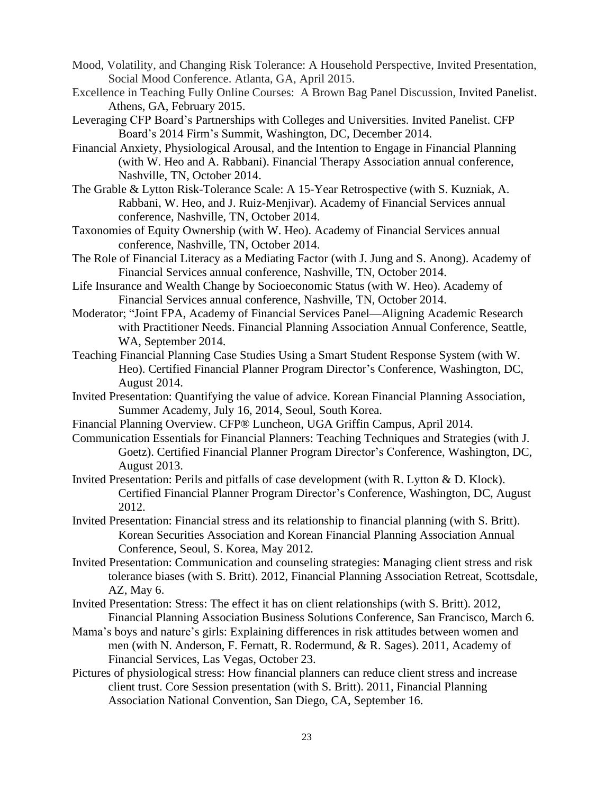- Mood, Volatility, and Changing Risk Tolerance: A Household Perspective, Invited Presentation, Social Mood Conference. Atlanta, GA, April 2015.
- Excellence in Teaching Fully Online Courses: A Brown Bag Panel Discussion, Invited Panelist. Athens, GA, February 2015.
- Leveraging CFP Board's Partnerships with Colleges and Universities. Invited Panelist. CFP Board's 2014 Firm's Summit, Washington, DC, December 2014.
- Financial Anxiety, Physiological Arousal, and the Intention to Engage in Financial Planning (with W. Heo and A. Rabbani). Financial Therapy Association annual conference, Nashville, TN, October 2014.
- The Grable & Lytton Risk-Tolerance Scale: A 15-Year Retrospective (with S. Kuzniak, A. Rabbani, W. Heo, and J. Ruiz-Menjivar). Academy of Financial Services annual conference, Nashville, TN, October 2014.
- Taxonomies of Equity Ownership (with W. Heo). Academy of Financial Services annual conference, Nashville, TN, October 2014.
- The Role of Financial Literacy as a Mediating Factor (with J. Jung and S. Anong). Academy of Financial Services annual conference, Nashville, TN, October 2014.
- Life Insurance and Wealth Change by Socioeconomic Status (with W. Heo). Academy of Financial Services annual conference, Nashville, TN, October 2014.
- Moderator; "Joint FPA, Academy of Financial Services Panel—Aligning Academic Research with Practitioner Needs. Financial Planning Association Annual Conference, Seattle, WA, September 2014.
- Teaching Financial Planning Case Studies Using a Smart Student Response System (with W. Heo). Certified Financial Planner Program Director's Conference, Washington, DC, August 2014.
- Invited Presentation: Quantifying the value of advice. Korean Financial Planning Association, Summer Academy, July 16, 2014, Seoul, South Korea.
- Financial Planning Overview. CFP® Luncheon, UGA Griffin Campus, April 2014.
- Communication Essentials for Financial Planners: Teaching Techniques and Strategies (with J. Goetz). Certified Financial Planner Program Director's Conference, Washington, DC, August 2013.
- Invited Presentation: Perils and pitfalls of case development (with R. Lytton & D. Klock). Certified Financial Planner Program Director's Conference, Washington, DC, August 2012.
- Invited Presentation: Financial stress and its relationship to financial planning (with S. Britt). Korean Securities Association and Korean Financial Planning Association Annual Conference, Seoul, S. Korea, May 2012.
- Invited Presentation: Communication and counseling strategies: Managing client stress and risk tolerance biases (with S. Britt). 2012, Financial Planning Association Retreat, Scottsdale, AZ, May 6.
- Invited Presentation: Stress: The effect it has on client relationships (with S. Britt). 2012, Financial Planning Association Business Solutions Conference, San Francisco, March 6.
- Mama's boys and nature's girls: Explaining differences in risk attitudes between women and men (with N. Anderson, F. Fernatt, R. Rodermund, & R. Sages). 2011, Academy of Financial Services, Las Vegas, October 23.
- Pictures of physiological stress: How financial planners can reduce client stress and increase client trust. Core Session presentation (with S. Britt). 2011, Financial Planning Association National Convention, San Diego, CA, September 16.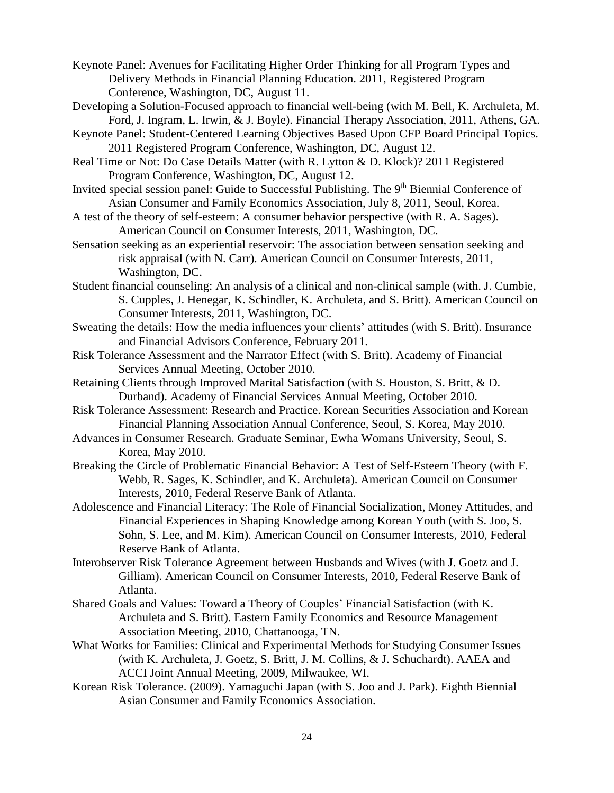Keynote Panel: Avenues for Facilitating Higher Order Thinking for all Program Types and Delivery Methods in Financial Planning Education. 2011, Registered Program Conference, Washington, DC, August 11.

- Developing a Solution-Focused approach to financial well-being (with M. Bell, K. Archuleta, M. Ford, J. Ingram, L. Irwin, & J. Boyle). Financial Therapy Association, 2011, Athens, GA.
- Keynote Panel: Student-Centered Learning Objectives Based Upon CFP Board Principal Topics. 2011 Registered Program Conference, Washington, DC, August 12.
- Real Time or Not: Do Case Details Matter (with R. Lytton & D. Klock)? 2011 Registered Program Conference, Washington, DC, August 12.
- Invited special session panel: Guide to Successful Publishing. The 9<sup>th</sup> Biennial Conference of Asian Consumer and Family Economics Association, July 8, 2011, Seoul, Korea.
- A test of the theory of self-esteem: A consumer behavior perspective (with R. A. Sages). American Council on Consumer Interests, 2011, Washington, DC.
- Sensation seeking as an experiential reservoir: The association between sensation seeking and risk appraisal (with N. Carr). American Council on Consumer Interests, 2011, Washington, DC.
- Student financial counseling: An analysis of a clinical and non-clinical sample (with. J. Cumbie, S. Cupples, J. Henegar, K. Schindler, K. Archuleta, and S. Britt). American Council on Consumer Interests, 2011, Washington, DC.
- Sweating the details: How the media influences your clients' attitudes (with S. Britt). Insurance and Financial Advisors Conference, February 2011.
- Risk Tolerance Assessment and the Narrator Effect (with S. Britt). Academy of Financial Services Annual Meeting, October 2010.
- Retaining Clients through Improved Marital Satisfaction (with S. Houston, S. Britt, & D. Durband). Academy of Financial Services Annual Meeting, October 2010.
- Risk Tolerance Assessment: Research and Practice. Korean Securities Association and Korean Financial Planning Association Annual Conference, Seoul, S. Korea, May 2010.
- Advances in Consumer Research. Graduate Seminar, Ewha Womans University, Seoul, S. Korea, May 2010.
- Breaking the Circle of Problematic Financial Behavior: A Test of Self-Esteem Theory (with F. Webb, R. Sages, K. Schindler, and K. Archuleta). American Council on Consumer Interests, 2010, Federal Reserve Bank of Atlanta.
- Adolescence and Financial Literacy: The Role of Financial Socialization, Money Attitudes, and Financial Experiences in Shaping Knowledge among Korean Youth (with S. Joo, S. Sohn, S. Lee, and M. Kim). American Council on Consumer Interests, 2010, Federal Reserve Bank of Atlanta.
- Interobserver Risk Tolerance Agreement between Husbands and Wives (with J. Goetz and J. Gilliam). American Council on Consumer Interests, 2010, Federal Reserve Bank of Atlanta.
- Shared Goals and Values: Toward a Theory of Couples' Financial Satisfaction (with K. Archuleta and S. Britt). Eastern Family Economics and Resource Management Association Meeting, 2010, Chattanooga, TN.
- What Works for Families: Clinical and Experimental Methods for Studying Consumer Issues (with K. Archuleta, J. Goetz, S. Britt, J. M. Collins, & J. Schuchardt). AAEA and ACCI Joint Annual Meeting, 2009, Milwaukee, WI.
- Korean Risk Tolerance. (2009). Yamaguchi Japan (with S. Joo and J. Park). Eighth Biennial Asian Consumer and Family Economics Association.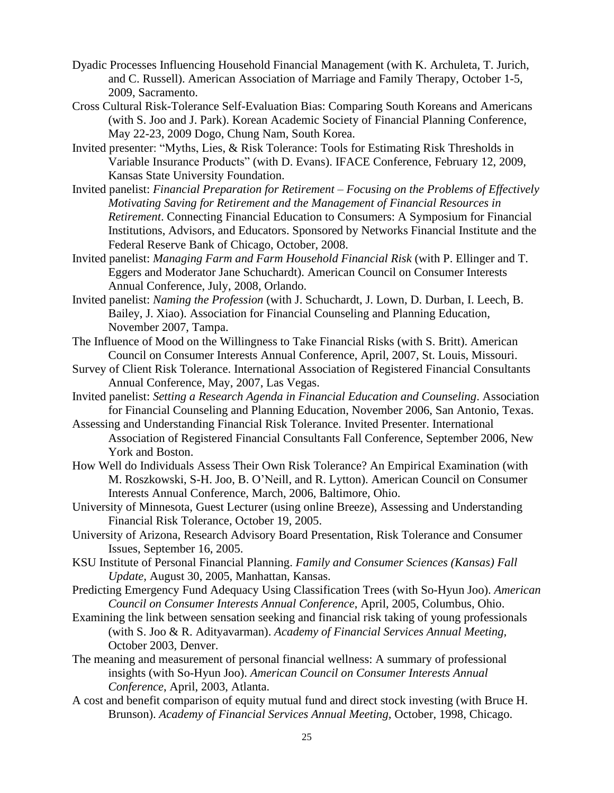- Dyadic Processes Influencing Household Financial Management (with K. Archuleta, T. Jurich, and C. Russell). American Association of Marriage and Family Therapy, October 1-5, 2009, Sacramento.
- Cross Cultural Risk-Tolerance Self-Evaluation Bias: Comparing South Koreans and Americans (with S. Joo and J. Park). Korean Academic Society of Financial Planning Conference, May 22-23, 2009 Dogo, Chung Nam, South Korea.
- Invited presenter: "Myths, Lies, & Risk Tolerance: Tools for Estimating Risk Thresholds in Variable Insurance Products" (with D. Evans). IFACE Conference, February 12, 2009, Kansas State University Foundation.
- Invited panelist: *Financial Preparation for Retirement – Focusing on the Problems of Effectively Motivating Saving for Retirement and the Management of Financial Resources in Retirement*. Connecting Financial Education to Consumers: A Symposium for Financial Institutions, Advisors, and Educators. Sponsored by Networks Financial Institute and the Federal Reserve Bank of Chicago, October, 2008.
- Invited panelist: *Managing Farm and Farm Household Financial Risk* (with P. Ellinger and T. Eggers and Moderator Jane Schuchardt). American Council on Consumer Interests Annual Conference, July, 2008, Orlando.
- Invited panelist: *Naming the Profession* (with J. Schuchardt, J. Lown, D. Durban, I. Leech, B. Bailey, J. Xiao). Association for Financial Counseling and Planning Education, November 2007, Tampa.
- The Influence of Mood on the Willingness to Take Financial Risks (with S. Britt). American Council on Consumer Interests Annual Conference, April, 2007, St. Louis, Missouri.
- Survey of Client Risk Tolerance. International Association of Registered Financial Consultants Annual Conference, May, 2007, Las Vegas.
- Invited panelist: *Setting a Research Agenda in Financial Education and Counseling*. Association for Financial Counseling and Planning Education, November 2006, San Antonio, Texas.
- Assessing and Understanding Financial Risk Tolerance. Invited Presenter. International Association of Registered Financial Consultants Fall Conference, September 2006, New York and Boston.
- How Well do Individuals Assess Their Own Risk Tolerance? An Empirical Examination (with M. Roszkowski, S-H. Joo, B. O'Neill, and R. Lytton). American Council on Consumer Interests Annual Conference, March, 2006, Baltimore, Ohio.
- University of Minnesota, Guest Lecturer (using online Breeze), Assessing and Understanding Financial Risk Tolerance, October 19, 2005.
- University of Arizona, Research Advisory Board Presentation, Risk Tolerance and Consumer Issues, September 16, 2005.
- KSU Institute of Personal Financial Planning. *Family and Consumer Sciences (Kansas) Fall Update,* August 30, 2005, Manhattan, Kansas.
- Predicting Emergency Fund Adequacy Using Classification Trees (with So-Hyun Joo). *American Council on Consumer Interests Annual Conference*, April, 2005, Columbus, Ohio.
- Examining the link between sensation seeking and financial risk taking of young professionals (with S. Joo & R. Adityavarman). *Academy of Financial Services Annual Meeting,*  October 2003, Denver.
- The meaning and measurement of personal financial wellness: A summary of professional insights (with So-Hyun Joo). *American Council on Consumer Interests Annual Conference*, April, 2003, Atlanta.
- A cost and benefit comparison of equity mutual fund and direct stock investing (with Bruce H. Brunson). *Academy of Financial Services Annual Meeting,* October, 1998, Chicago.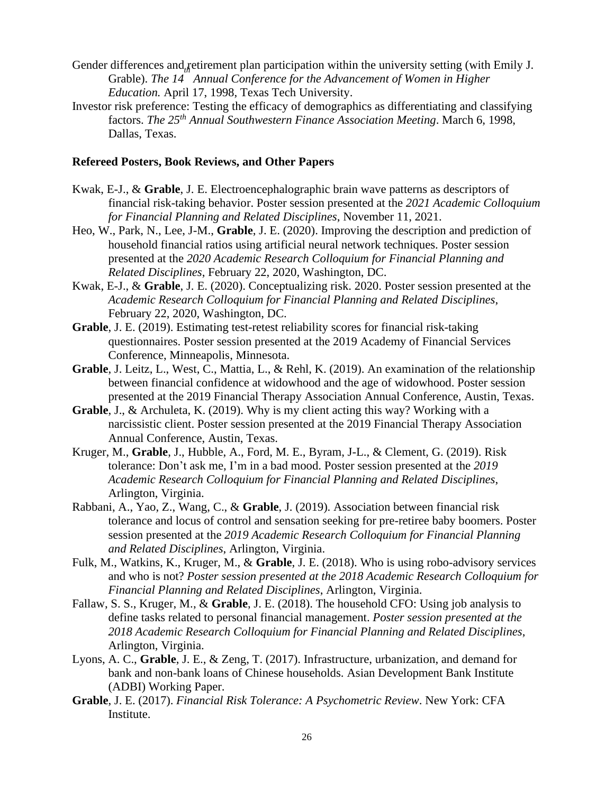- Gender differences and retirement plan participation within the university setting (with Emily J. Grable). *The 14 Annual Conference for the Advancement of Women in Higher Education.* April 17, 1998, Texas Tech University.
- Investor risk preference: Testing the efficacy of demographics as differentiating and classifying factors. *The 25 th Annual Southwestern Finance Association Meeting*. March 6, 1998, Dallas, Texas.

#### **Refereed Posters, Book Reviews, and Other Papers**

- Kwak, E-J., & **Grable**, J. E. Electroencephalographic brain wave patterns as descriptors of financial risk-taking behavior. Poster session presented at the *2021 Academic Colloquium for Financial Planning and Related Disciplines*, November 11, 2021.
- Heo, W., Park, N., Lee, J-M., **Grable**, J. E. (2020). Improving the description and prediction of household financial ratios using artificial neural network techniques. Poster session presented at the *2020 Academic Research Colloquium for Financial Planning and Related Disciplines*, February 22, 2020, Washington, DC.
- Kwak, E-J., & **Grable**, J. E. (2020). Conceptualizing risk. 2020. Poster session presented at the *Academic Research Colloquium for Financial Planning and Related Disciplines*, February 22, 2020, Washington, DC.
- **Grable**, J. E. (2019). Estimating test-retest reliability scores for financial risk-taking questionnaires. Poster session presented at the 2019 Academy of Financial Services Conference, Minneapolis, Minnesota.
- **Grable**, J. Leitz, L., West, C., Mattia, L., & Rehl, K. (2019). An examination of the relationship between financial confidence at widowhood and the age of widowhood. Poster session presented at the 2019 Financial Therapy Association Annual Conference, Austin, Texas.
- **Grable**, J., & Archuleta, K. (2019). Why is my client acting this way? Working with a narcissistic client. Poster session presented at the 2019 Financial Therapy Association Annual Conference, Austin, Texas.
- Kruger, M., **Grable**, J., Hubble, A., Ford, M. E., Byram, J-L., & Clement, G. (2019). Risk tolerance: Don't ask me, I'm in a bad mood. Poster session presented at the *2019 Academic Research Colloquium for Financial Planning and Related Disciplines*, Arlington, Virginia.
- Rabbani, A., Yao, Z., Wang, C., & **Grable**, J. (2019). Association between financial risk tolerance and locus of control and sensation seeking for pre-retiree baby boomers. Poster session presented at the *2019 Academic Research Colloquium for Financial Planning and Related Disciplines*, Arlington, Virginia.
- Fulk, M., Watkins, K., Kruger, M., & **Grable**, J. E. (2018). Who is using robo-advisory services and who is not? *Poster session presented at the 2018 Academic Research Colloquium for Financial Planning and Related Disciplines*, Arlington, Virginia.
- Fallaw, S. S., Kruger, M., & **Grable**, J. E. (2018). The household CFO: Using job analysis to define tasks related to personal financial management. *Poster session presented at the 2018 Academic Research Colloquium for Financial Planning and Related Disciplines*, Arlington, Virginia.
- Lyons, A. C., **Grable**, J. E., & Zeng, T. (2017). Infrastructure, urbanization, and demand for bank and non-bank loans of Chinese households. Asian Development Bank Institute (ADBI) Working Paper.
- **Grable**, J. E. (2017). *Financial Risk Tolerance: A Psychometric Review*. New York: CFA Institute.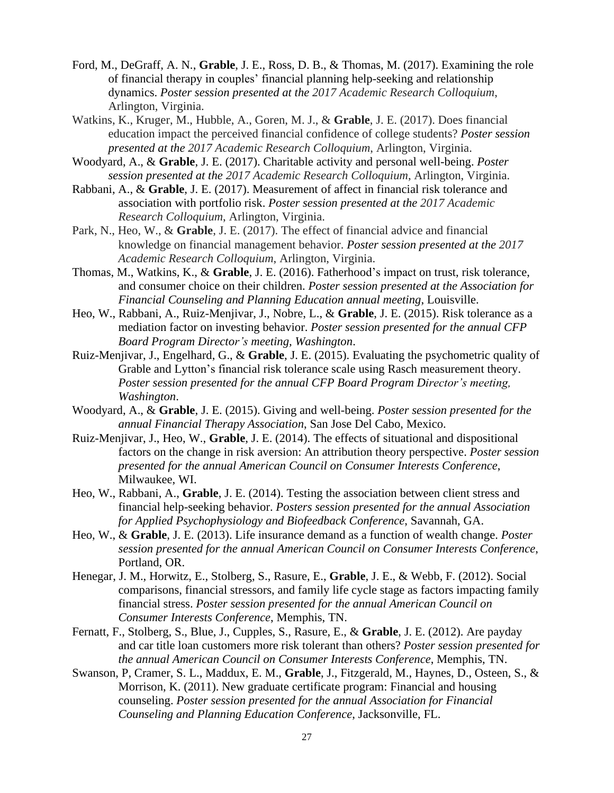- Ford, M., DeGraff, A. N., **Grable**, J. E., Ross, D. B., & Thomas, M. (2017). Examining the role of financial therapy in couples' financial planning help-seeking and relationship dynamics. *Poster session presented at the 2017 Academic Research Colloquium*, Arlington, Virginia.
- Watkins, K., Kruger, M., Hubble, A., Goren, M. J., & **Grable**, J. E. (2017). Does financial education impact the perceived financial confidence of college students? *Poster session presented at the 2017 Academic Research Colloquium*, Arlington, Virginia.
- Woodyard, A., & **Grable**, J. E. (2017). Charitable activity and personal well-being. *Poster session presented at the 2017 Academic Research Colloquium*, Arlington, Virginia.
- Rabbani, A., & **Grable**, J. E. (2017). Measurement of affect in financial risk tolerance and association with portfolio risk. *Poster session presented at the 2017 Academic Research Colloquium*, Arlington, Virginia.
- Park, N., Heo, W., & **Grable**, J. E. (2017). The effect of financial advice and financial knowledge on financial management behavior. *Poster session presented at the 2017 Academic Research Colloquium*, Arlington, Virginia.
- Thomas, M., Watkins, K., & **Grable**, J. E. (2016). Fatherhood's impact on trust, risk tolerance, and consumer choice on their children. *Poster session presented at the Association for Financial Counseling and Planning Education annual meeting*, Louisville.
- Heo, W., Rabbani, A., Ruiz-Menjivar, J., Nobre, L., & **Grable**, J. E. (2015). Risk tolerance as a mediation factor on investing behavior. *Poster session presented for the annual CFP Board Program Director's meeting, Washington*.
- Ruiz-Menjivar, J., Engelhard, G., & **Grable**, J. E. (2015). Evaluating the psychometric quality of Grable and Lytton's financial risk tolerance scale using Rasch measurement theory. *Poster session presented for the annual CFP Board Program Director's meeting, Washington*.
- Woodyard, A., & **Grable**, J. E. (2015). Giving and well-being. *Poster session presented for the annual Financial Therapy Association*, San Jose Del Cabo, Mexico.
- Ruiz-Menjivar, J., Heo, W., **Grable**, J. E. (2014). The effects of situational and dispositional factors on the change in risk aversion: An attribution theory perspective. *Poster session presented for the annual American Council on Consumer Interests Conference*, Milwaukee, WI.
- Heo, W., Rabbani, A., **Grable**, J. E. (2014). Testing the association between client stress and financial help-seeking behavior. *Posters session presented for the annual Association for Applied Psychophysiology and Biofeedback Conference*, Savannah, GA.
- Heo, W., & **Grable**, J. E. (2013). Life insurance demand as a function of wealth change. *Poster session presented for the annual American Council on Consumer Interests Conference*, Portland, OR.
- Henegar, J. M., Horwitz, E., Stolberg, S., Rasure, E., **Grable**, J. E., & Webb, F. (2012). Social comparisons, financial stressors, and family life cycle stage as factors impacting family financial stress. *Poster session presented for the annual American Council on Consumer Interests Conference*, Memphis, TN.
- Fernatt, F., Stolberg, S., Blue, J., Cupples, S., Rasure, E., & **Grable**, J. E. (2012). Are payday and car title loan customers more risk tolerant than others? *Poster session presented for the annual American Council on Consumer Interests Conference*, Memphis, TN.
- Swanson, P, Cramer, S. L., Maddux, E. M., **Grable**, J., Fitzgerald, M., Haynes, D., Osteen, S., & Morrison, K. (2011). New graduate certificate program: Financial and housing counseling. *Poster session presented for the annual Association for Financial Counseling and Planning Education Conference*, Jacksonville, FL.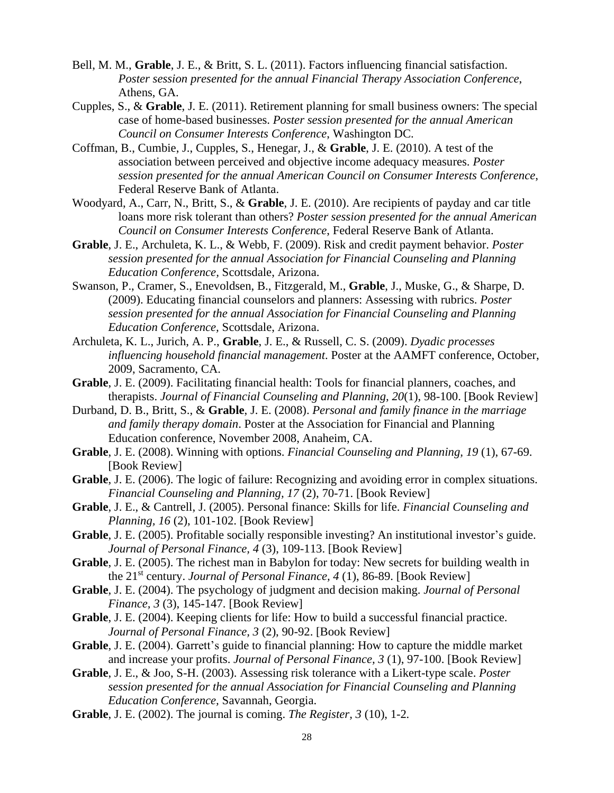- Bell, M. M., **Grable**, J. E., & Britt, S. L. (2011). Factors influencing financial satisfaction. *Poster session presented for the annual Financial Therapy Association Conference*, Athens, GA.
- Cupples, S., & **Grable**, J. E. (2011). Retirement planning for small business owners: The special case of home-based businesses. *Poster session presented for the annual American Council on Consumer Interests Conference*, Washington DC.
- Coffman, B., Cumbie, J., Cupples, S., Henegar, J., & **Grable**, J. E. (2010). A test of the association between perceived and objective income adequacy measures. *Poster session presented for the annual American Council on Consumer Interests Conference*, Federal Reserve Bank of Atlanta.
- Woodyard, A., Carr, N., Britt, S., & **Grable**, J. E. (2010). Are recipients of payday and car title loans more risk tolerant than others? *Poster session presented for the annual American Council on Consumer Interests Conference*, Federal Reserve Bank of Atlanta.
- **Grable**, J. E., Archuleta, K. L., & Webb, F. (2009). Risk and credit payment behavior. *Poster session presented for the annual Association for Financial Counseling and Planning Education Conference,* Scottsdale, Arizona.
- Swanson, P., Cramer, S., Enevoldsen, B., Fitzgerald, M., **Grable**, J., Muske, G., & Sharpe, D. (2009). Educating financial counselors and planners: Assessing with rubrics. *Poster session presented for the annual Association for Financial Counseling and Planning Education Conference,* Scottsdale, Arizona.
- Archuleta, K. L., Jurich, A. P., **Grable**, J. E., & Russell, C. S. (2009). *Dyadic processes influencing household financial management*. Poster at the AAMFT conference, October, 2009, Sacramento, CA.
- **Grable**, J. E. (2009). Facilitating financial health: Tools for financial planners, coaches, and therapists. *Journal of Financial Counseling and Planning, 20*(1), 98-100. [Book Review]
- Durband, D. B., Britt, S., & **Grable**, J. E. (2008). *Personal and family finance in the marriage and family therapy domain*. Poster at the Association for Financial and Planning Education conference, November 2008, Anaheim, CA.
- **Grable**, J. E. (2008). Winning with options. *Financial Counseling and Planning, 19* (1), 67-69. [Book Review]
- **Grable**, J. E. (2006). The logic of failure: Recognizing and avoiding error in complex situations. *Financial Counseling and Planning, 17* (2), 70-71. [Book Review]
- **Grable**, J. E., & Cantrell, J. (2005). Personal finance: Skills for life. *Financial Counseling and Planning, 16* (2), 101-102. [Book Review]
- **Grable**, J. E. (2005). Profitable socially responsible investing? An institutional investor's guide. *Journal of Personal Finance, 4* (3), 109-113. [Book Review]
- **Grable**, J. E. (2005). The richest man in Babylon for today: New secrets for building wealth in the 21 st century. *Journal of Personal Finance, 4* (1), 86-89. [Book Review]
- **Grable**, J. E. (2004). The psychology of judgment and decision making. *Journal of Personal Finance, 3* (3), 145-147. [Book Review]
- **Grable**, J. E. (2004). Keeping clients for life: How to build a successful financial practice. *Journal of Personal Finance, 3* (2), 90-92. [Book Review]
- **Grable**, J. E. (2004). Garrett's guide to financial planning: How to capture the middle market and increase your profits. *Journal of Personal Finance, 3* (1), 97-100. [Book Review]
- **Grable**, J. E., & Joo, S-H. (2003). Assessing risk tolerance with a Likert-type scale. *Poster session presented for the annual Association for Financial Counseling and Planning Education Conference,* Savannah, Georgia.
- **Grable**, J. E. (2002). The journal is coming. *The Register, 3* (10), 1-2*.*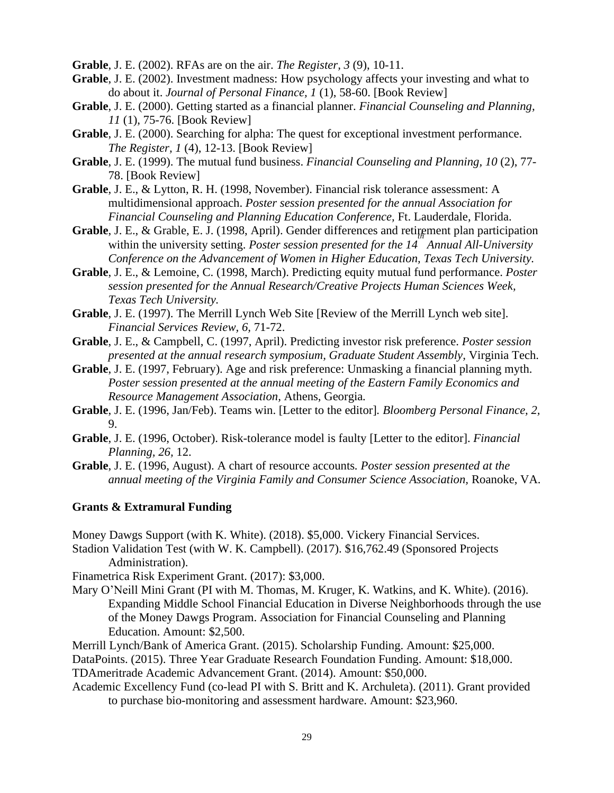**Grable**, J. E. (2002). RFAs are on the air. *The Register, 3* (9), 10-11.

- **Grable**, J. E. (2002). Investment madness: How psychology affects your investing and what to do about it. *Journal of Personal Finance, 1* (1), 58-60. [Book Review]
- **Grable**, J. E. (2000). Getting started as a financial planner. *Financial Counseling and Planning, 11* (1), 75-76. [Book Review]
- **Grable**, J. E. (2000). Searching for alpha: The quest for exceptional investment performance. *The Register, 1* (4), 12-13. [Book Review]
- **Grable**, J. E. (1999). The mutual fund business. *Financial Counseling and Planning, 10* (2), 77- 78. [Book Review]
- **Grable**, J. E., & Lytton, R. H. (1998, November). Financial risk tolerance assessment: A multidimensional approach. *Poster session presented for the annual Association for Financial Counseling and Planning Education Conference,* Ft. Lauderdale, Florida.
- Grable, J. E., & Grable, E. J. (1998, April). Gender differences and retirement plan participation within the university setting. *Poster session presented for the 14 Annual All-University Conference on the Advancement of Women in Higher Education, Texas Tech University.*
- **Grable**, J. E., & Lemoine, C. (1998, March). Predicting equity mutual fund performance. *Poster session presented for the Annual Research/Creative Projects Human Sciences Week, Texas Tech University.*
- **Grable**, J. E. (1997). The Merrill Lynch Web Site [Review of the Merrill Lynch web site]. *Financial Services Review, 6,* 71-72.
- **Grable**, J. E., & Campbell, C. (1997, April). Predicting investor risk preference. *Poster session presented at the annual research symposium, Graduate Student Assembly,* Virginia Tech.
- **Grable**, J. E. (1997, February). Age and risk preference: Unmasking a financial planning myth. *Poster session presented at the annual meeting of the Eastern Family Economics and Resource Management Association,* Athens, Georgia*.*
- **Grable**, J. E. (1996, Jan/Feb). Teams win. [Letter to the editor]*. Bloomberg Personal Finance, 2,* 9.
- **Grable**, J. E. (1996, October). Risk-tolerance model is faulty [Letter to the editor]. *Financial Planning, 26,* 12.
- **Grable**, J. E. (1996, August). A chart of resource accounts*. Poster session presented at the annual meeting of the Virginia Family and Consumer Science Association,* Roanoke, VA.

### **Grants & Extramural Funding**

Money Dawgs Support (with K. White). (2018). \$5,000. Vickery Financial Services.

- Stadion Validation Test (with W. K. Campbell). (2017). \$16,762.49 (Sponsored Projects Administration).
- Finametrica Risk Experiment Grant. (2017): \$3,000.
- Mary O'Neill Mini Grant (PI with M. Thomas, M. Kruger, K. Watkins, and K. White). (2016). Expanding Middle School Financial Education in Diverse Neighborhoods through the use of the Money Dawgs Program. Association for Financial Counseling and Planning Education. Amount: \$2,500.

Merrill Lynch/Bank of America Grant. (2015). Scholarship Funding. Amount: \$25,000.

DataPoints. (2015). Three Year Graduate Research Foundation Funding. Amount: \$18,000. TDAmeritrade Academic Advancement Grant. (2014). Amount: \$50,000.

Academic Excellency Fund (co-lead PI with S. Britt and K. Archuleta). (2011). Grant provided to purchase bio-monitoring and assessment hardware. Amount: \$23,960.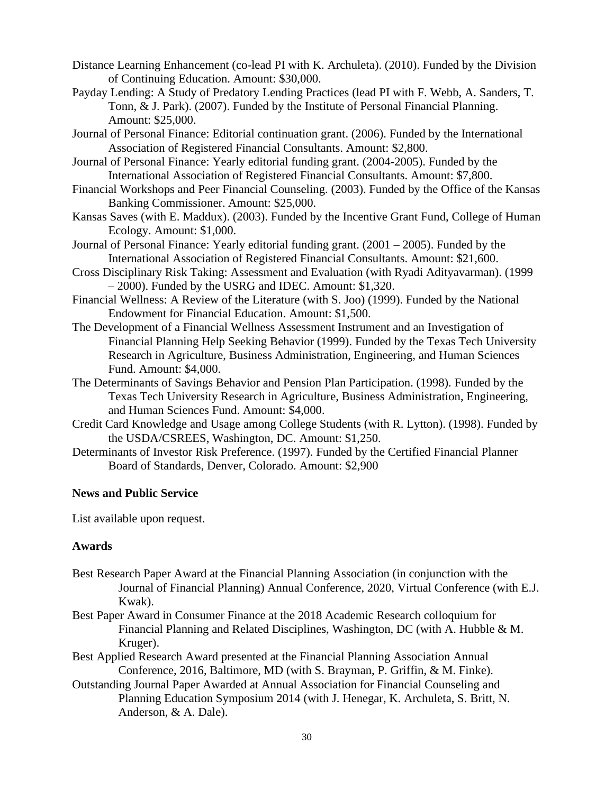- Distance Learning Enhancement (co-lead PI with K. Archuleta). (2010). Funded by the Division of Continuing Education. Amount: \$30,000.
- Payday Lending: A Study of Predatory Lending Practices (lead PI with F. Webb, A. Sanders, T. Tonn, & J. Park). (2007). Funded by the Institute of Personal Financial Planning. Amount: \$25,000.
- Journal of Personal Finance: Editorial continuation grant. (2006). Funded by the International Association of Registered Financial Consultants. Amount: \$2,800.
- Journal of Personal Finance: Yearly editorial funding grant. (2004-2005). Funded by the International Association of Registered Financial Consultants. Amount: \$7,800.
- Financial Workshops and Peer Financial Counseling. (2003). Funded by the Office of the Kansas Banking Commissioner. Amount: \$25,000.
- Kansas Saves (with E. Maddux). (2003). Funded by the Incentive Grant Fund, College of Human Ecology. Amount: \$1,000.
- Journal of Personal Finance: Yearly editorial funding grant. (2001 2005). Funded by the International Association of Registered Financial Consultants. Amount: \$21,600.
- Cross Disciplinary Risk Taking: Assessment and Evaluation (with Ryadi Adityavarman). (1999 – 2000). Funded by the USRG and IDEC. Amount: \$1,320.
- Financial Wellness: A Review of the Literature (with S. Joo) (1999). Funded by the National Endowment for Financial Education. Amount: \$1,500.
- The Development of a Financial Wellness Assessment Instrument and an Investigation of Financial Planning Help Seeking Behavior (1999). Funded by the Texas Tech University Research in Agriculture, Business Administration, Engineering, and Human Sciences Fund. Amount: \$4,000.
- The Determinants of Savings Behavior and Pension Plan Participation. (1998). Funded by the Texas Tech University Research in Agriculture, Business Administration, Engineering, and Human Sciences Fund. Amount: \$4,000.
- Credit Card Knowledge and Usage among College Students (with R. Lytton). (1998). Funded by the USDA/CSREES, Washington, DC. Amount: \$1,250.
- Determinants of Investor Risk Preference. (1997). Funded by the Certified Financial Planner Board of Standards, Denver, Colorado. Amount: \$2,900

### **News and Public Service**

List available upon request.

### **Awards**

- Best Research Paper Award at the Financial Planning Association (in conjunction with the Journal of Financial Planning) Annual Conference, 2020, Virtual Conference (with E.J. Kwak).
- Best Paper Award in Consumer Finance at the 2018 Academic Research colloquium for Financial Planning and Related Disciplines, Washington, DC (with A. Hubble & M. Kruger).
- Best Applied Research Award presented at the Financial Planning Association Annual Conference, 2016, Baltimore, MD (with S. Brayman, P. Griffin, & M. Finke).
- Outstanding Journal Paper Awarded at Annual Association for Financial Counseling and Planning Education Symposium 2014 (with J. Henegar, K. Archuleta, S. Britt, N. Anderson, & A. Dale).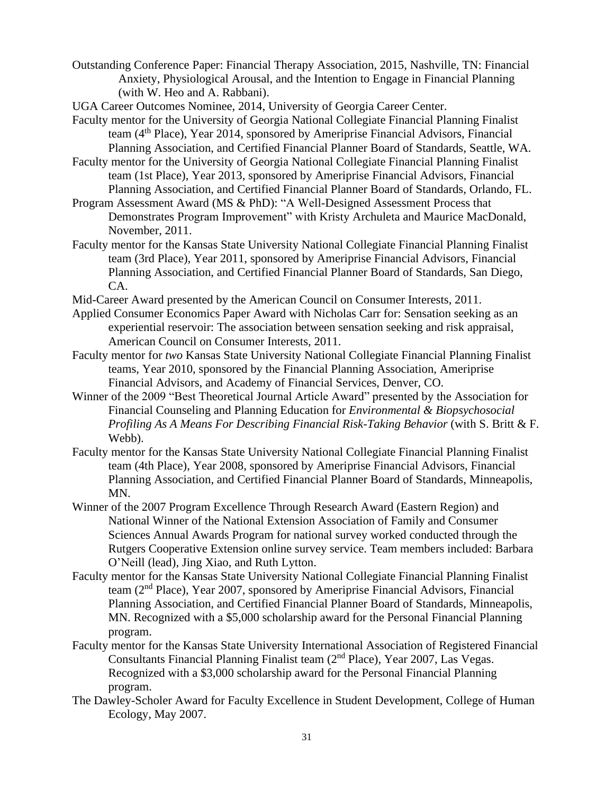- Outstanding Conference Paper: Financial Therapy Association, 2015, Nashville, TN: Financial Anxiety, Physiological Arousal, and the Intention to Engage in Financial Planning (with W. Heo and A. Rabbani).
- UGA Career Outcomes Nominee, 2014, University of Georgia Career Center.
- Faculty mentor for the University of Georgia National Collegiate Financial Planning Finalist team (4<sup>th</sup> Place), Year 2014, sponsored by Ameriprise Financial Advisors, Financial Planning Association, and Certified Financial Planner Board of Standards, Seattle, WA.
- Faculty mentor for the University of Georgia National Collegiate Financial Planning Finalist team (1st Place), Year 2013, sponsored by Ameriprise Financial Advisors, Financial Planning Association, and Certified Financial Planner Board of Standards, Orlando, FL.
- Program Assessment Award (MS & PhD): "A Well-Designed Assessment Process that Demonstrates Program Improvement" with Kristy Archuleta and Maurice MacDonald, November, 2011.
- Faculty mentor for the Kansas State University National Collegiate Financial Planning Finalist team (3rd Place), Year 2011, sponsored by Ameriprise Financial Advisors, Financial Planning Association, and Certified Financial Planner Board of Standards, San Diego, CA.

Mid-Career Award presented by the American Council on Consumer Interests, 2011.

- Applied Consumer Economics Paper Award with Nicholas Carr for: Sensation seeking as an experiential reservoir: The association between sensation seeking and risk appraisal, American Council on Consumer Interests, 2011.
- Faculty mentor for *two* Kansas State University National Collegiate Financial Planning Finalist teams, Year 2010, sponsored by the Financial Planning Association, Ameriprise Financial Advisors, and Academy of Financial Services, Denver, CO.
- Winner of the 2009 "Best Theoretical Journal Article Award" presented by the Association for Financial Counseling and Planning Education for *Environmental & Biopsychosocial Profiling As A Means For Describing Financial Risk-Taking Behavior* (with S. Britt & F. Webb).
- Faculty mentor for the Kansas State University National Collegiate Financial Planning Finalist team (4th Place), Year 2008, sponsored by Ameriprise Financial Advisors, Financial Planning Association, and Certified Financial Planner Board of Standards, Minneapolis, MN.
- Winner of the 2007 Program Excellence Through Research Award (Eastern Region) and National Winner of the National Extension Association of Family and Consumer Sciences Annual Awards Program for national survey worked conducted through the Rutgers Cooperative Extension online survey service. Team members included: Barbara O'Neill (lead), Jing Xiao, and Ruth Lytton.
- Faculty mentor for the Kansas State University National Collegiate Financial Planning Finalist team (2nd Place), Year 2007, sponsored by Ameriprise Financial Advisors, Financial Planning Association, and Certified Financial Planner Board of Standards, Minneapolis, MN. Recognized with a \$5,000 scholarship award for the Personal Financial Planning program.
- Faculty mentor for the Kansas State University International Association of Registered Financial Consultants Financial Planning Finalist team (2<sup>nd</sup> Place), Year 2007, Las Vegas. Recognized with a \$3,000 scholarship award for the Personal Financial Planning program.
- The Dawley-Scholer Award for Faculty Excellence in Student Development, College of Human Ecology, May 2007.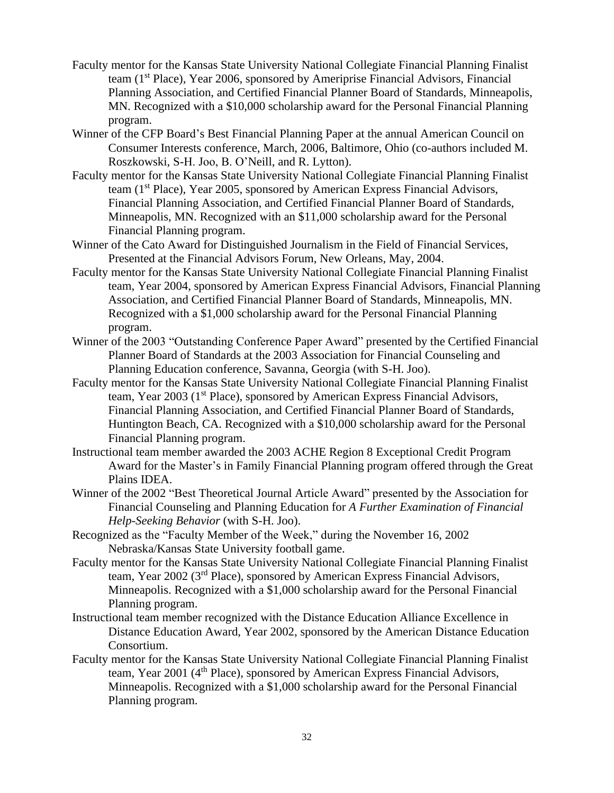- Faculty mentor for the Kansas State University National Collegiate Financial Planning Finalist team (1st Place), Year 2006, sponsored by Ameriprise Financial Advisors, Financial Planning Association, and Certified Financial Planner Board of Standards, Minneapolis, MN. Recognized with a \$10,000 scholarship award for the Personal Financial Planning program.
- Winner of the CFP Board's Best Financial Planning Paper at the annual American Council on Consumer Interests conference, March, 2006, Baltimore, Ohio (co-authors included M. Roszkowski, S-H. Joo, B. O'Neill, and R. Lytton).
- Faculty mentor for the Kansas State University National Collegiate Financial Planning Finalist team (1st Place), Year 2005, sponsored by American Express Financial Advisors, Financial Planning Association, and Certified Financial Planner Board of Standards, Minneapolis, MN. Recognized with an \$11,000 scholarship award for the Personal Financial Planning program.
- Winner of the Cato Award for Distinguished Journalism in the Field of Financial Services, Presented at the Financial Advisors Forum, New Orleans, May, 2004.
- Faculty mentor for the Kansas State University National Collegiate Financial Planning Finalist team, Year 2004, sponsored by American Express Financial Advisors, Financial Planning Association, and Certified Financial Planner Board of Standards, Minneapolis, MN. Recognized with a \$1,000 scholarship award for the Personal Financial Planning program.
- Winner of the 2003 "Outstanding Conference Paper Award" presented by the Certified Financial Planner Board of Standards at the 2003 Association for Financial Counseling and Planning Education conference, Savanna, Georgia (with S-H. Joo).
- Faculty mentor for the Kansas State University National Collegiate Financial Planning Finalist team, Year 2003 (1<sup>st</sup> Place), sponsored by American Express Financial Advisors, Financial Planning Association, and Certified Financial Planner Board of Standards, Huntington Beach, CA. Recognized with a \$10,000 scholarship award for the Personal Financial Planning program.
- Instructional team member awarded the 2003 ACHE Region 8 Exceptional Credit Program Award for the Master's in Family Financial Planning program offered through the Great Plains IDEA.
- Winner of the 2002 "Best Theoretical Journal Article Award" presented by the Association for Financial Counseling and Planning Education for *A Further Examination of Financial Help-Seeking Behavior* (with S-H. Joo).
- Recognized as the "Faculty Member of the Week," during the November 16, 2002 Nebraska/Kansas State University football game.
- Faculty mentor for the Kansas State University National Collegiate Financial Planning Finalist team, Year 2002 (3<sup>rd</sup> Place), sponsored by American Express Financial Advisors, Minneapolis. Recognized with a \$1,000 scholarship award for the Personal Financial Planning program.
- Instructional team member recognized with the Distance Education Alliance Excellence in Distance Education Award, Year 2002, sponsored by the American Distance Education Consortium.
- Faculty mentor for the Kansas State University National Collegiate Financial Planning Finalist team, Year 2001 (4<sup>th</sup> Place), sponsored by American Express Financial Advisors, Minneapolis. Recognized with a \$1,000 scholarship award for the Personal Financial Planning program.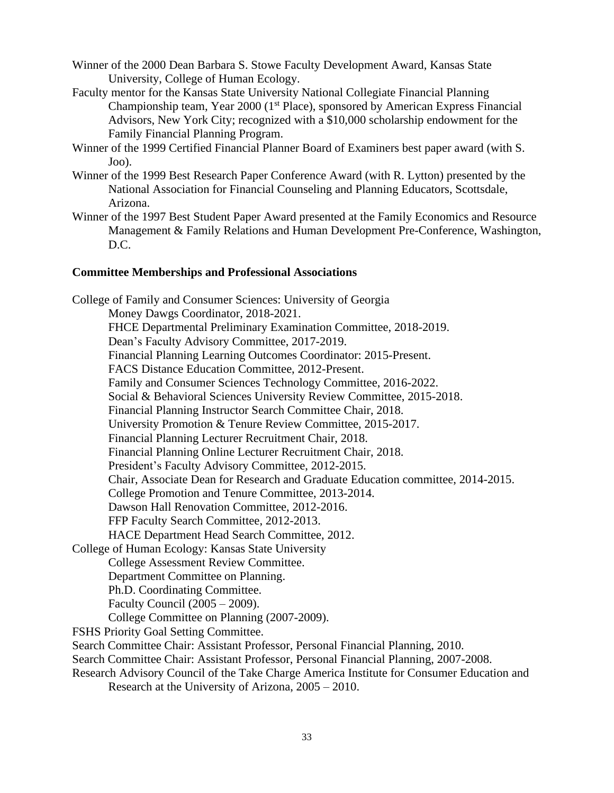Winner of the 2000 Dean Barbara S. Stowe Faculty Development Award, Kansas State University, College of Human Ecology.

- Faculty mentor for the Kansas State University National Collegiate Financial Planning Championship team, Year 2000 (1<sup>st</sup> Place), sponsored by American Express Financial Advisors, New York City; recognized with a \$10,000 scholarship endowment for the Family Financial Planning Program.
- Winner of the 1999 Certified Financial Planner Board of Examiners best paper award (with S. Joo).
- Winner of the 1999 Best Research Paper Conference Award (with R. Lytton) presented by the National Association for Financial Counseling and Planning Educators, Scottsdale, Arizona.
- Winner of the 1997 Best Student Paper Award presented at the Family Economics and Resource Management & Family Relations and Human Development Pre-Conference, Washington, D.C.

# **Committee Memberships and Professional Associations**

College of Family and Consumer Sciences: University of Georgia Money Dawgs Coordinator, 2018-2021. FHCE Departmental Preliminary Examination Committee, 2018-2019. Dean's Faculty Advisory Committee, 2017-2019. Financial Planning Learning Outcomes Coordinator: 2015-Present. FACS Distance Education Committee, 2012-Present. Family and Consumer Sciences Technology Committee, 2016-2022. Social & Behavioral Sciences University Review Committee, 2015-2018. Financial Planning Instructor Search Committee Chair, 2018. University Promotion & Tenure Review Committee, 2015-2017. Financial Planning Lecturer Recruitment Chair, 2018. Financial Planning Online Lecturer Recruitment Chair, 2018. President's Faculty Advisory Committee, 2012-2015. Chair, Associate Dean for Research and Graduate Education committee, 2014-2015. College Promotion and Tenure Committee, 2013-2014. Dawson Hall Renovation Committee, 2012-2016. FFP Faculty Search Committee, 2012-2013. HACE Department Head Search Committee, 2012. College of Human Ecology: Kansas State University College Assessment Review Committee. Department Committee on Planning. Ph.D. Coordinating Committee. Faculty Council (2005 – 2009). College Committee on Planning (2007-2009). FSHS Priority Goal Setting Committee. Search Committee Chair: Assistant Professor, Personal Financial Planning, 2010. Search Committee Chair: Assistant Professor, Personal Financial Planning, 2007-2008. Research Advisory Council of the Take Charge America Institute for Consumer Education and Research at the University of Arizona, 2005 – 2010.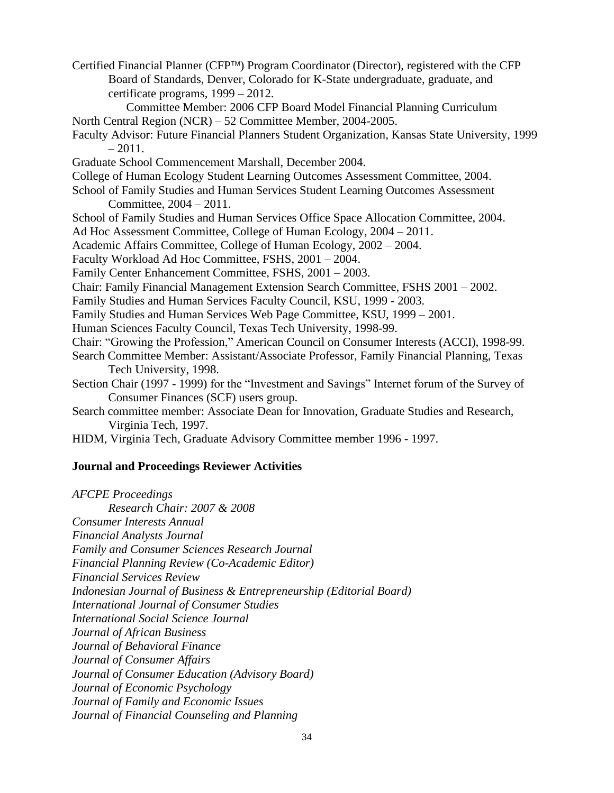Certified Financial Planner (CFP™) Program Coordinator (Director), registered with the CFP Board of Standards, Denver, Colorado for K-State undergraduate, graduate, and certificate programs, 1999 – 2012.

Committee Member: 2006 CFP Board Model Financial Planning Curriculum North Central Region (NCR) – 52 Committee Member, 2004-2005.

- Faculty Advisor: Future Financial Planners Student Organization, Kansas State University, 1999  $-2011.$
- Graduate School Commencement Marshall, December 2004.

College of Human Ecology Student Learning Outcomes Assessment Committee, 2004.

School of Family Studies and Human Services Student Learning Outcomes Assessment Committee, 2004 – 2011.

School of Family Studies and Human Services Office Space Allocation Committee, 2004.

Ad Hoc Assessment Committee, College of Human Ecology, 2004 – 2011.

Academic Affairs Committee, College of Human Ecology, 2002 – 2004.

Faculty Workload Ad Hoc Committee, FSHS, 2001 – 2004.

- Family Center Enhancement Committee, FSHS, 2001 2003.
- Chair: Family Financial Management Extension Search Committee, FSHS 2001 2002.
- Family Studies and Human Services Faculty Council, KSU, 1999 2003.

Family Studies and Human Services Web Page Committee, KSU, 1999 – 2001.

Human Sciences Faculty Council, Texas Tech University, 1998-99.

Chair: "Growing the Profession," American Council on Consumer Interests (ACCI), 1998-99.

Search Committee Member: Assistant/Associate Professor, Family Financial Planning, Texas Tech University, 1998.

Section Chair (1997 - 1999) for the "Investment and Savings" Internet forum of the Survey of Consumer Finances (SCF) users group.

Search committee member: Associate Dean for Innovation, Graduate Studies and Research, Virginia Tech, 1997.

HIDM, Virginia Tech, Graduate Advisory Committee member 1996 - 1997.

# **Journal and Proceedings Reviewer Activities**

*AFCPE Proceedings Research Chair: 2007 & 2008 Consumer Interests Annual Financial Analysts Journal Family and Consumer Sciences Research Journal Financial Planning Review (Co-Academic Editor) Financial Services Review Indonesian Journal of Business & Entrepreneurship (Editorial Board) International Journal of Consumer Studies International Social Science Journal Journal of African Business Journal of Behavioral Finance Journal of Consumer Affairs Journal of Consumer Education (Advisory Board) Journal of Economic Psychology Journal of Family and Economic Issues Journal of Financial Counseling and Planning*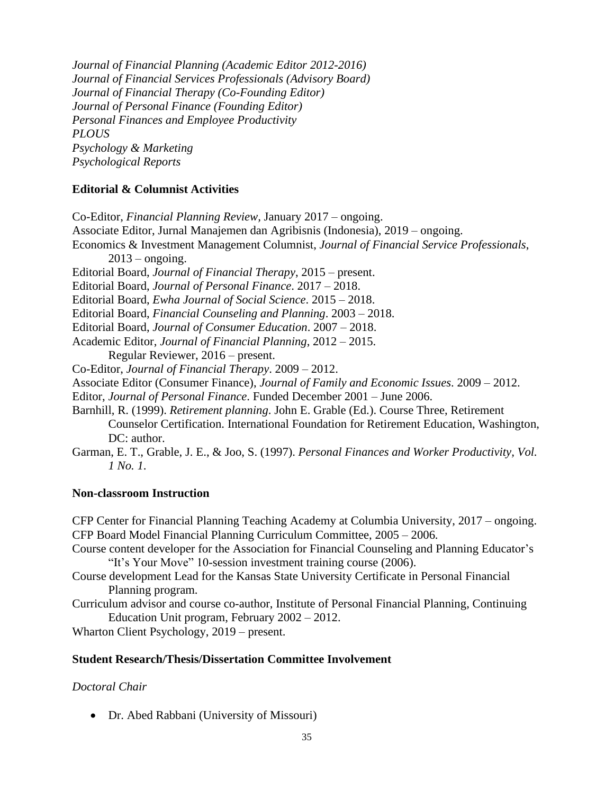*Journal of Financial Planning (Academic Editor 2012-2016) Journal of Financial Services Professionals (Advisory Board) Journal of Financial Therapy (Co-Founding Editor) Journal of Personal Finance (Founding Editor) Personal Finances and Employee Productivity PLOUS Psychology & Marketing Psychological Reports*

### **Editorial & Columnist Activities**

Co-Editor, *Financial Planning Review,* January 2017 – ongoing. Associate Editor, Jurnal Manajemen dan Agribisnis (Indonesia), 2019 – ongoing. Economics & Investment Management Columnist, *Journal of Financial Service Professionals*,  $2013$  – ongoing. Editorial Board, *Journal of Financial Therapy*, 2015 – present. Editorial Board, *Journal of Personal Finance*. 2017 – 2018. Editorial Board, *Ewha Journal of Social Science*. 2015 – 2018. Editorial Board, *Financial Counseling and Planning*. 2003 – 2018. Editorial Board, *Journal of Consumer Education*. 2007 – 2018. Academic Editor, *Journal of Financial Planning*, 2012 – 2015. Regular Reviewer, 2016 – present. Co-Editor, *Journal of Financial Therapy*. 2009 – 2012. Associate Editor (Consumer Finance), *Journal of Family and Economic Issues*. 2009 – 2012. Editor, *Journal of Personal Finance*. Funded December 2001 – June 2006. Barnhill, R. (1999). *Retirement planning*. John E. Grable (Ed.). Course Three, Retirement Counselor Certification. International Foundation for Retirement Education, Washington, DC: author. Garman, E. T., Grable, J. E., & Joo, S. (1997). *Personal Finances and Worker Productivity, Vol.* 

#### **Non-classroom Instruction**

*1 No. 1*.

CFP Center for Financial Planning Teaching Academy at Columbia University, 2017 – ongoing. CFP Board Model Financial Planning Curriculum Committee, 2005 – 2006.

Course content developer for the Association for Financial Counseling and Planning Educator's "It's Your Move" 10-session investment training course (2006).

- Course development Lead for the Kansas State University Certificate in Personal Financial Planning program.
- Curriculum advisor and course co-author, Institute of Personal Financial Planning, Continuing Education Unit program, February 2002 – 2012.

Wharton Client Psychology, 2019 – present.

#### **Student Research/Thesis/Dissertation Committee Involvement**

### *Doctoral Chair*

• Dr. Abed Rabbani (University of Missouri)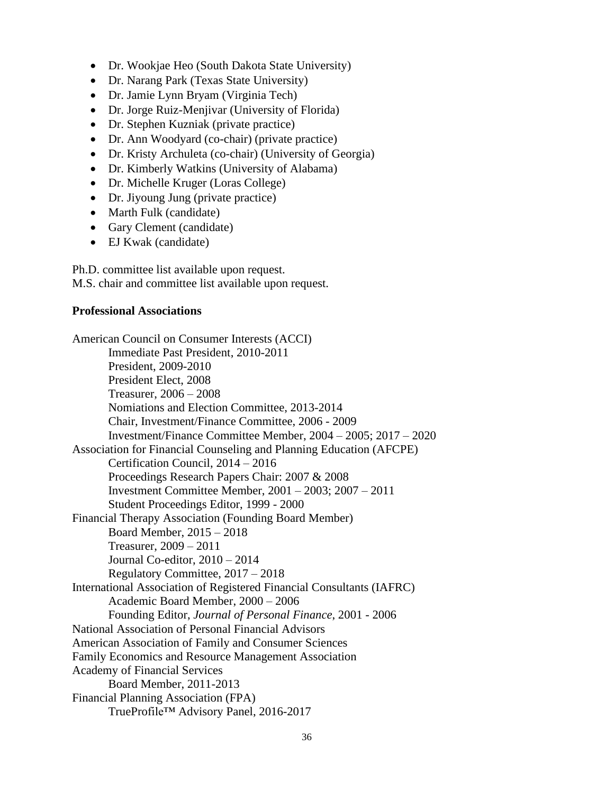- Dr. Wookjae Heo (South Dakota State University)
- Dr. Narang Park (Texas State University)
- Dr. Jamie Lynn Bryam (Virginia Tech)
- Dr. Jorge Ruiz-Menjivar (University of Florida)
- Dr. Stephen Kuzniak (private practice)
- Dr. Ann Woodyard (co-chair) (private practice)
- Dr. Kristy Archuleta (co-chair) (University of Georgia)
- Dr. Kimberly Watkins (University of Alabama)
- Dr. Michelle Kruger (Loras College)
- Dr. Jiyoung Jung (private practice)
- Marth Fulk (candidate)
- Gary Clement (candidate)
- EJ Kwak (candidate)

Ph.D. committee list available upon request. M.S. chair and committee list available upon request.

## **Professional Associations**

American Council on Consumer Interests (ACCI) Immediate Past President, 2010-2011 President, 2009-2010 President Elect, 2008 Treasurer, 2006 – 2008 Nomiations and Election Committee, 2013-2014 Chair, Investment/Finance Committee, 2006 - 2009 Investment/Finance Committee Member, 2004 – 2005; 2017 – 2020 Association for Financial Counseling and Planning Education (AFCPE) Certification Council, 2014 – 2016 Proceedings Research Papers Chair: 2007 & 2008 Investment Committee Member, 2001 – 2003; 2007 – 2011 Student Proceedings Editor, 1999 - 2000 Financial Therapy Association (Founding Board Member) Board Member, 2015 – 2018 Treasurer, 2009 – 2011 Journal Co-editor, 2010 – 2014 Regulatory Committee, 2017 – 2018 International Association of Registered Financial Consultants (IAFRC) Academic Board Member, 2000 – 2006 Founding Editor, *Journal of Personal Finance*, 2001 - 2006 National Association of Personal Financial Advisors American Association of Family and Consumer Sciences Family Economics and Resource Management Association Academy of Financial Services Board Member, 2011-2013 Financial Planning Association (FPA) TrueProfile™ Advisory Panel, 2016-2017